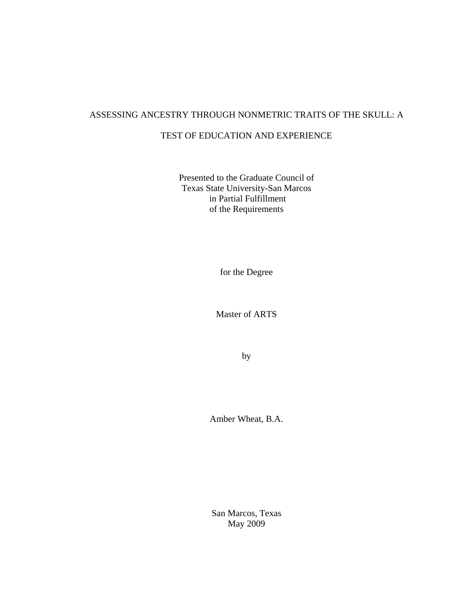# ASSESSING ANCESTRY THROUGH NONMETRIC TRAITS OF THE SKULL: A

# TEST OF EDUCATION AND EXPERIENCE

Presented to the Graduate Council of Texas State University-San Marcos in Partial Fulfillment of the Requirements

for the Degree

Master of ARTS

by

Amber Wheat, B.A.

San Marcos, Texas May 2009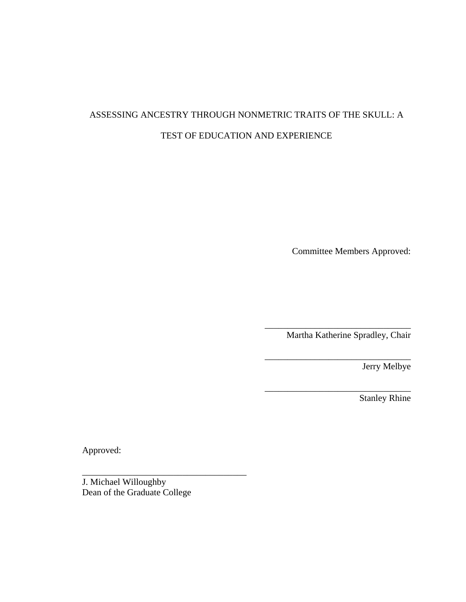# ASSESSING ANCESTRY THROUGH NONMETRIC TRAITS OF THE SKULL: A TEST OF EDUCATION AND EXPERIENCE

Committee Members Approved:

Martha Katherine Spradley, Chair

\_\_\_\_\_\_\_\_\_\_\_\_\_\_\_\_\_\_\_\_\_\_\_\_\_\_\_\_\_\_\_\_

\_\_\_\_\_\_\_\_\_\_\_\_\_\_\_\_\_\_\_\_\_\_\_\_\_\_\_\_\_\_\_\_

\_\_\_\_\_\_\_\_\_\_\_\_\_\_\_\_\_\_\_\_\_\_\_\_\_\_\_\_\_\_\_\_

Jerry Melbye

Stanley Rhine

Approved:

J. Michael Willoughby Dean of the Graduate College

\_\_\_\_\_\_\_\_\_\_\_\_\_\_\_\_\_\_\_\_\_\_\_\_\_\_\_\_\_\_\_\_\_\_\_\_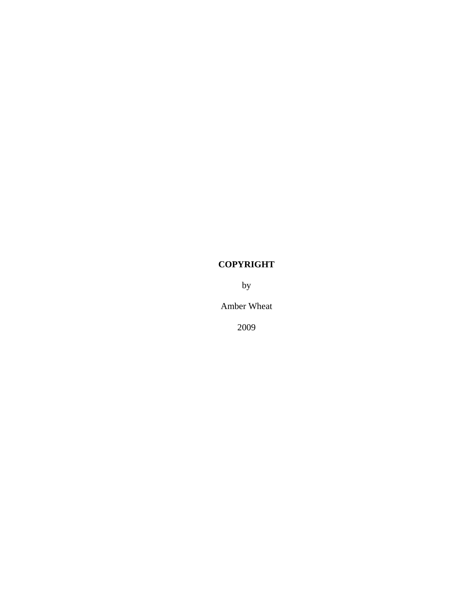# **COPYRIGHT**

by

Amber Wheat

2009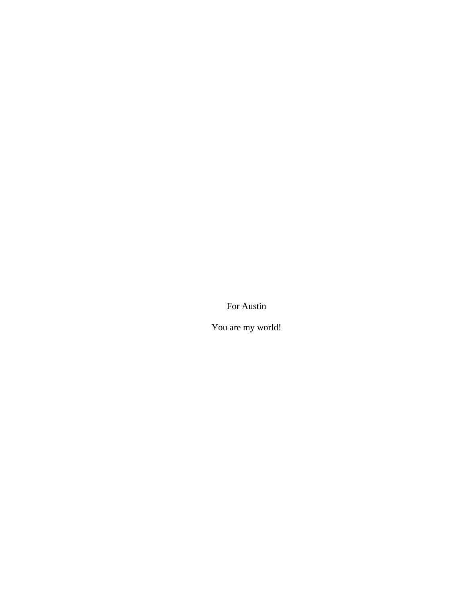For Austin

You are my world!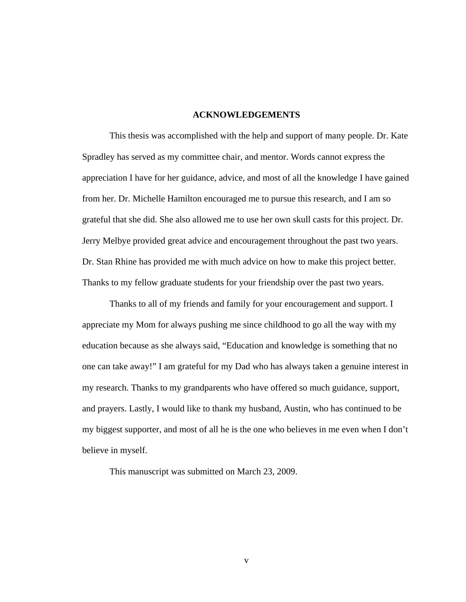# **ACKNOWLEDGEMENTS**

 This thesis was accomplished with the help and support of many people. Dr. Kate Spradley has served as my committee chair, and mentor. Words cannot express the appreciation I have for her guidance, advice, and most of all the knowledge I have gained from her. Dr. Michelle Hamilton encouraged me to pursue this research, and I am so grateful that she did. She also allowed me to use her own skull casts for this project. Dr. Jerry Melbye provided great advice and encouragement throughout the past two years. Dr. Stan Rhine has provided me with much advice on how to make this project better. Thanks to my fellow graduate students for your friendship over the past two years.

 Thanks to all of my friends and family for your encouragement and support. I appreciate my Mom for always pushing me since childhood to go all the way with my education because as she always said, "Education and knowledge is something that no one can take away!" I am grateful for my Dad who has always taken a genuine interest in my research. Thanks to my grandparents who have offered so much guidance, support, and prayers. Lastly, I would like to thank my husband, Austin, who has continued to be my biggest supporter, and most of all he is the one who believes in me even when I don't believe in myself.

This manuscript was submitted on March 23, 2009.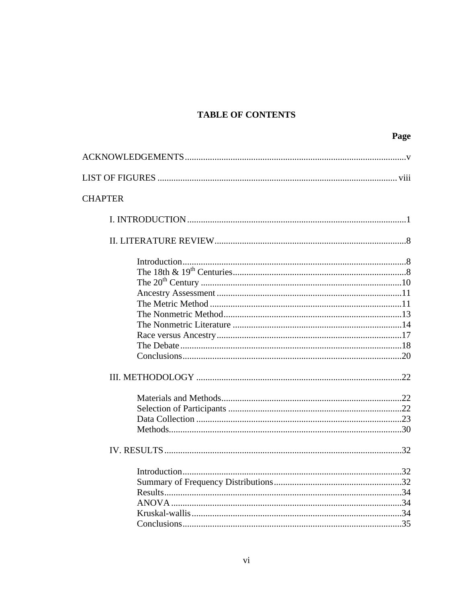# **TABLE OF CONTENTS**

|                | Page |
|----------------|------|
|                |      |
|                |      |
|                |      |
| <b>CHAPTER</b> |      |
|                |      |
|                |      |
|                |      |
|                |      |
|                |      |
|                |      |
|                |      |
|                |      |
|                |      |
|                |      |
|                |      |
|                |      |
|                |      |
|                |      |
|                |      |
|                |      |
|                |      |
|                |      |
|                |      |
|                |      |
|                |      |
|                |      |
|                |      |
|                |      |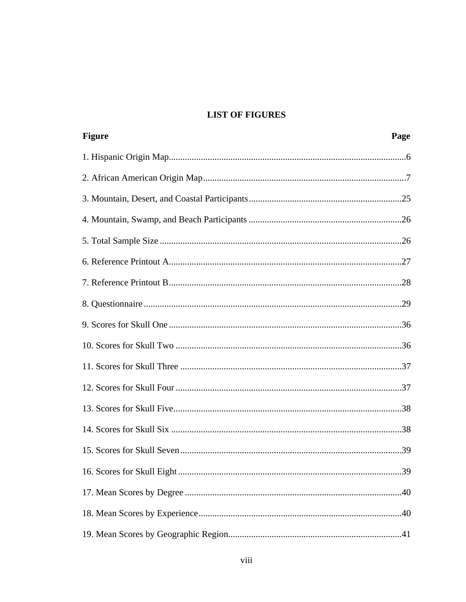# **LIST OF FIGURES**

| <b>Figure</b> | Page |
|---------------|------|
|               |      |
|               |      |
|               |      |
|               |      |
|               |      |
|               |      |
|               |      |
|               |      |
|               |      |
|               |      |
|               |      |
|               |      |
|               |      |
|               |      |
|               |      |
|               | 39   |
|               |      |
|               |      |
|               |      |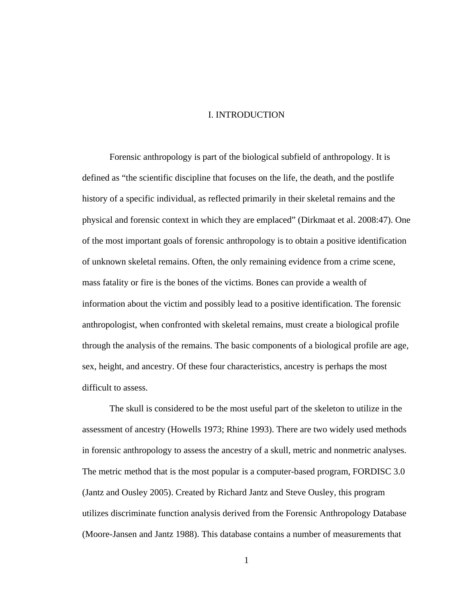# I. INTRODUCTION

 Forensic anthropology is part of the biological subfield of anthropology. It is defined as "the scientific discipline that focuses on the life, the death, and the postlife history of a specific individual, as reflected primarily in their skeletal remains and the physical and forensic context in which they are emplaced" (Dirkmaat et al. 2008:47). One of the most important goals of forensic anthropology is to obtain a positive identification of unknown skeletal remains. Often, the only remaining evidence from a crime scene, mass fatality or fire is the bones of the victims. Bones can provide a wealth of information about the victim and possibly lead to a positive identification. The forensic anthropologist, when confronted with skeletal remains, must create a biological profile through the analysis of the remains. The basic components of a biological profile are age, sex, height, and ancestry. Of these four characteristics, ancestry is perhaps the most difficult to assess.

The skull is considered to be the most useful part of the skeleton to utilize in the assessment of ancestry (Howells 1973; Rhine 1993). There are two widely used methods in forensic anthropology to assess the ancestry of a skull, metric and nonmetric analyses. The metric method that is the most popular is a computer-based program, FORDISC 3.0 (Jantz and Ousley 2005). Created by Richard Jantz and Steve Ousley, this program utilizes discriminate function analysis derived from the Forensic Anthropology Database (Moore-Jansen and Jantz 1988). This database contains a number of measurements that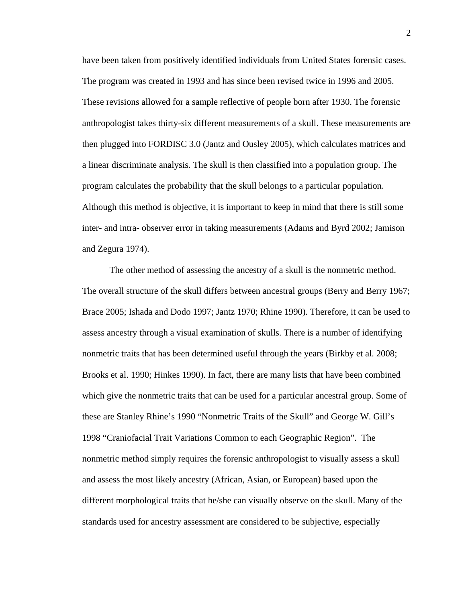have been taken from positively identified individuals from United States forensic cases. The program was created in 1993 and has since been revised twice in 1996 and 2005. These revisions allowed for a sample reflective of people born after 1930. The forensic anthropologist takes thirty-six different measurements of a skull. These measurements are then plugged into FORDISC 3.0 (Jantz and Ousley 2005), which calculates matrices and a linear discriminate analysis. The skull is then classified into a population group. The program calculates the probability that the skull belongs to a particular population. Although this method is objective, it is important to keep in mind that there is still some inter- and intra- observer error in taking measurements (Adams and Byrd 2002; Jamison and Zegura 1974).

The other method of assessing the ancestry of a skull is the nonmetric method. The overall structure of the skull differs between ancestral groups (Berry and Berry 1967; Brace 2005; Ishada and Dodo 1997; Jantz 1970; Rhine 1990). Therefore, it can be used to assess ancestry through a visual examination of skulls. There is a number of identifying nonmetric traits that has been determined useful through the years (Birkby et al. 2008; Brooks et al. 1990; Hinkes 1990). In fact, there are many lists that have been combined which give the nonmetric traits that can be used for a particular ancestral group. Some of these are Stanley Rhine's 1990 "Nonmetric Traits of the Skull" and George W. Gill's 1998 "Craniofacial Trait Variations Common to each Geographic Region". The nonmetric method simply requires the forensic anthropologist to visually assess a skull and assess the most likely ancestry (African, Asian, or European) based upon the different morphological traits that he/she can visually observe on the skull. Many of the standards used for ancestry assessment are considered to be subjective, especially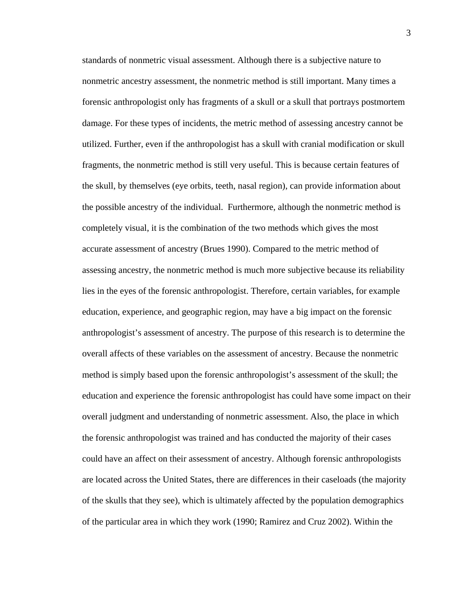standards of nonmetric visual assessment. Although there is a subjective nature to nonmetric ancestry assessment, the nonmetric method is still important. Many times a forensic anthropologist only has fragments of a skull or a skull that portrays postmortem damage. For these types of incidents, the metric method of assessing ancestry cannot be utilized. Further, even if the anthropologist has a skull with cranial modification or skull fragments, the nonmetric method is still very useful. This is because certain features of the skull, by themselves (eye orbits, teeth, nasal region), can provide information about the possible ancestry of the individual. Furthermore, although the nonmetric method is completely visual, it is the combination of the two methods which gives the most accurate assessment of ancestry (Brues 1990). Compared to the metric method of assessing ancestry, the nonmetric method is much more subjective because its reliability lies in the eyes of the forensic anthropologist. Therefore, certain variables, for example education, experience, and geographic region, may have a big impact on the forensic anthropologist's assessment of ancestry. The purpose of this research is to determine the overall affects of these variables on the assessment of ancestry. Because the nonmetric method is simply based upon the forensic anthropologist's assessment of the skull; the education and experience the forensic anthropologist has could have some impact on their overall judgment and understanding of nonmetric assessment. Also, the place in which the forensic anthropologist was trained and has conducted the majority of their cases could have an affect on their assessment of ancestry. Although forensic anthropologists are located across the United States, there are differences in their caseloads (the majority of the skulls that they see), which is ultimately affected by the population demographics of the particular area in which they work (1990; Ramirez and Cruz 2002). Within the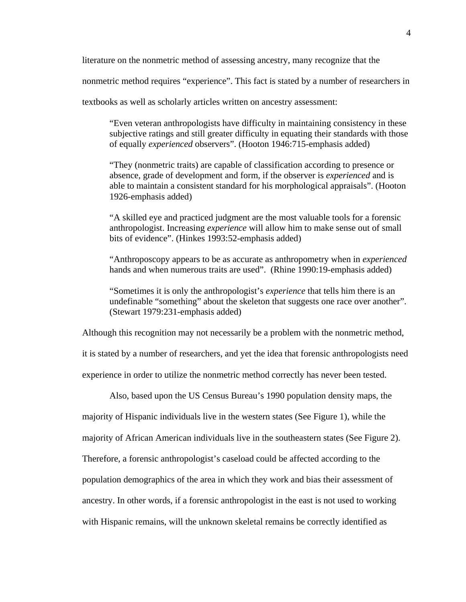literature on the nonmetric method of assessing ancestry, many recognize that the

nonmetric method requires "experience". This fact is stated by a number of researchers in

textbooks as well as scholarly articles written on ancestry assessment:

"Even veteran anthropologists have difficulty in maintaining consistency in these subjective ratings and still greater difficulty in equating their standards with those of equally *experienced* observers". (Hooton 1946:715-emphasis added)

"They (nonmetric traits) are capable of classification according to presence or absence, grade of development and form, if the observer is *experienced* and is able to maintain a consistent standard for his morphological appraisals". (Hooton 1926-emphasis added)

"A skilled eye and practiced judgment are the most valuable tools for a forensic anthropologist. Increasing *experience* will allow him to make sense out of small bits of evidence". (Hinkes 1993:52-emphasis added)

"Anthroposcopy appears to be as accurate as anthropometry when in *experienced*  hands and when numerous traits are used". (Rhine 1990:19-emphasis added)

"Sometimes it is only the anthropologist's *experience* that tells him there is an undefinable "something" about the skeleton that suggests one race over another". (Stewart 1979:231-emphasis added)

Although this recognition may not necessarily be a problem with the nonmetric method,

it is stated by a number of researchers, and yet the idea that forensic anthropologists need

experience in order to utilize the nonmetric method correctly has never been tested.

Also, based upon the US Census Bureau's 1990 population density maps, the

majority of Hispanic individuals live in the western states (See Figure 1), while the

majority of African American individuals live in the southeastern states (See Figure 2).

Therefore, a forensic anthropologist's caseload could be affected according to the

population demographics of the area in which they work and bias their assessment of

ancestry. In other words, if a forensic anthropologist in the east is not used to working

with Hispanic remains, will the unknown skeletal remains be correctly identified as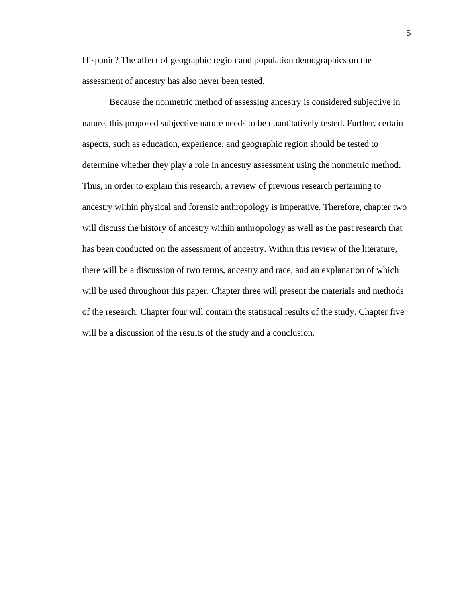Hispanic? The affect of geographic region and population demographics on the assessment of ancestry has also never been tested.

Because the nonmetric method of assessing ancestry is considered subjective in nature, this proposed subjective nature needs to be quantitatively tested. Further, certain aspects, such as education, experience, and geographic region should be tested to determine whether they play a role in ancestry assessment using the nonmetric method. Thus, in order to explain this research, a review of previous research pertaining to ancestry within physical and forensic anthropology is imperative. Therefore, chapter two will discuss the history of ancestry within anthropology as well as the past research that has been conducted on the assessment of ancestry. Within this review of the literature, there will be a discussion of two terms, ancestry and race, and an explanation of which will be used throughout this paper. Chapter three will present the materials and methods of the research. Chapter four will contain the statistical results of the study. Chapter five will be a discussion of the results of the study and a conclusion.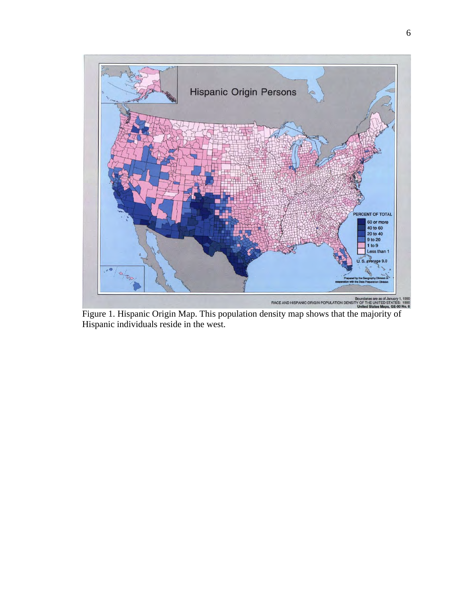

Figure 1. Hispanic Origin Map. This population density map shows that the majority of Hispanic individuals reside in the west.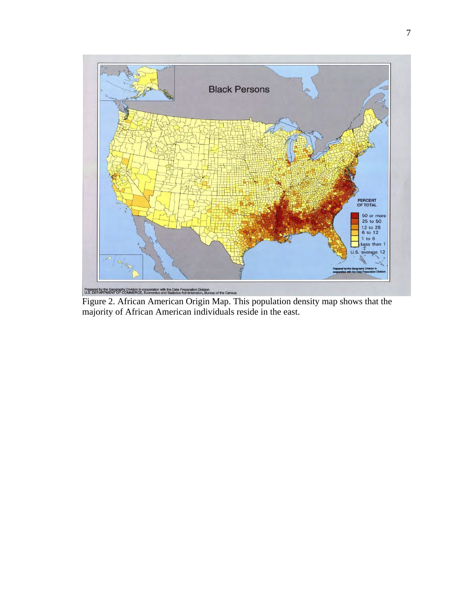

Figure 2. African American Origin Map. This population density map shows that the majority of African American individuals reside in the east.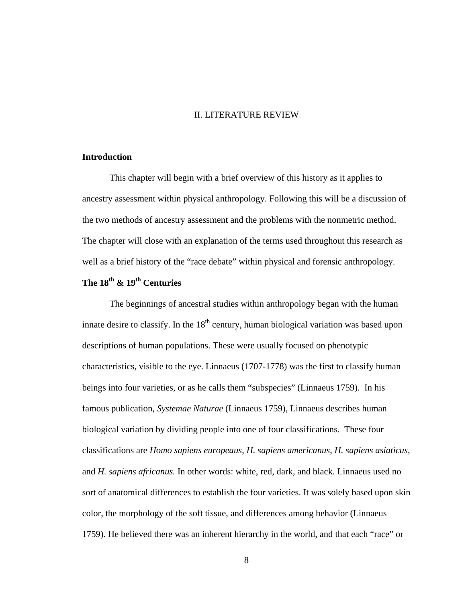# II. LITERATURE REVIEW

### **Introduction**

This chapter will begin with a brief overview of this history as it applies to ancestry assessment within physical anthropology. Following this will be a discussion of the two methods of ancestry assessment and the problems with the nonmetric method. The chapter will close with an explanation of the terms used throughout this research as well as a brief history of the "race debate" within physical and forensic anthropology.

# **The 18th & 19th Centuries**

The beginnings of ancestral studies within anthropology began with the human innate desire to classify. In the  $18<sup>th</sup>$  century, human biological variation was based upon descriptions of human populations. These were usually focused on phenotypic characteristics, visible to the eye. Linnaeus (1707-1778) was the first to classify human beings into four varieties, or as he calls them "subspecies" (Linnaeus 1759). In his famous publication, *Systemae Naturae* (Linnaeus 1759), Linnaeus describes human biological variation by dividing people into one of four classifications. These four classifications are *Homo sapiens europeaus*, *H. sapiens americanus*, *H. sapiens asiaticus*, and *H. sapiens africanus.* In other words: white, red, dark, and black. Linnaeus used no sort of anatomical differences to establish the four varieties. It was solely based upon skin color, the morphology of the soft tissue, and differences among behavior (Linnaeus 1759). He believed there was an inherent hierarchy in the world, and that each "race" or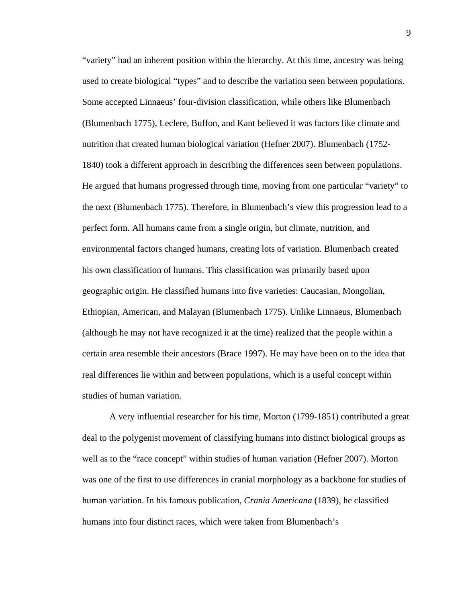"variety" had an inherent position within the hierarchy. At this time, ancestry was being used to create biological "types" and to describe the variation seen between populations. Some accepted Linnaeus' four-division classification, while others like Blumenbach (Blumenbach 1775), Leclere, Buffon, and Kant believed it was factors like climate and nutrition that created human biological variation (Hefner 2007). Blumenbach (1752- 1840) took a different approach in describing the differences seen between populations. He argued that humans progressed through time, moving from one particular "variety" to the next (Blumenbach 1775). Therefore, in Blumenbach's view this progression lead to a perfect form. All humans came from a single origin, but climate, nutrition, and environmental factors changed humans, creating lots of variation. Blumenbach created his own classification of humans. This classification was primarily based upon geographic origin. He classified humans into five varieties: Caucasian, Mongolian, Ethiopian, American, and Malayan (Blumenbach 1775). Unlike Linnaeus, Blumenbach (although he may not have recognized it at the time) realized that the people within a certain area resemble their ancestors (Brace 1997). He may have been on to the idea that real differences lie within and between populations, which is a useful concept within studies of human variation.

A very influential researcher for his time, Morton (1799-1851) contributed a great deal to the polygenist movement of classifying humans into distinct biological groups as well as to the "race concept" within studies of human variation (Hefner 2007). Morton was one of the first to use differences in cranial morphology as a backbone for studies of human variation. In his famous publication, *Crania Americana* (1839), he classified humans into four distinct races, which were taken from Blumenbach's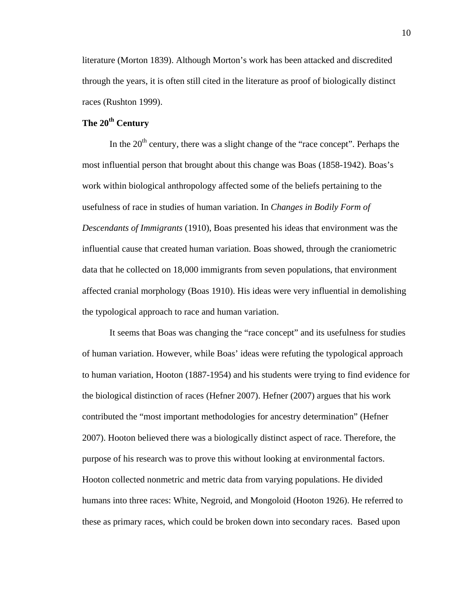literature (Morton 1839). Although Morton's work has been attacked and discredited through the years, it is often still cited in the literature as proof of biologically distinct races (Rushton 1999).

# The 20<sup>th</sup> Century

In the  $20<sup>th</sup>$  century, there was a slight change of the "race concept". Perhaps the most influential person that brought about this change was Boas (1858-1942). Boas's work within biological anthropology affected some of the beliefs pertaining to the usefulness of race in studies of human variation. In *Changes in Bodily Form of Descendants of Immigrants* (1910), Boas presented his ideas that environment was the influential cause that created human variation. Boas showed, through the craniometric data that he collected on 18,000 immigrants from seven populations, that environment affected cranial morphology (Boas 1910). His ideas were very influential in demolishing the typological approach to race and human variation.

It seems that Boas was changing the "race concept" and its usefulness for studies of human variation. However, while Boas' ideas were refuting the typological approach to human variation, Hooton (1887-1954) and his students were trying to find evidence for the biological distinction of races (Hefner 2007). Hefner (2007) argues that his work contributed the "most important methodologies for ancestry determination" (Hefner 2007). Hooton believed there was a biologically distinct aspect of race. Therefore, the purpose of his research was to prove this without looking at environmental factors. Hooton collected nonmetric and metric data from varying populations. He divided humans into three races: White, Negroid, and Mongoloid (Hooton 1926). He referred to these as primary races, which could be broken down into secondary races. Based upon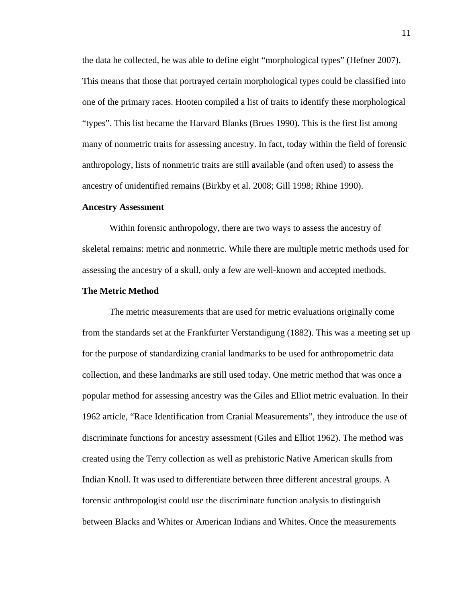the data he collected, he was able to define eight "morphological types" (Hefner 2007). This means that those that portrayed certain morphological types could be classified into one of the primary races. Hooten compiled a list of traits to identify these morphological "types". This list became the Harvard Blanks (Brues 1990). This is the first list among many of nonmetric traits for assessing ancestry. In fact, today within the field of forensic anthropology, lists of nonmetric traits are still available (and often used) to assess the ancestry of unidentified remains (Birkby et al. 2008; Gill 1998; Rhine 1990).

#### **Ancestry Assessment**

 Within forensic anthropology, there are two ways to assess the ancestry of skeletal remains: metric and nonmetric. While there are multiple metric methods used for assessing the ancestry of a skull, only a few are well-known and accepted methods.

# **The Metric Method**

The metric measurements that are used for metric evaluations originally come from the standards set at the Frankfurter Verstandigung (1882). This was a meeting set up for the purpose of standardizing cranial landmarks to be used for anthropometric data collection, and these landmarks are still used today. One metric method that was once a popular method for assessing ancestry was the Giles and Elliot metric evaluation. In their 1962 article, "Race Identification from Cranial Measurements", they introduce the use of discriminate functions for ancestry assessment (Giles and Elliot 1962). The method was created using the Terry collection as well as prehistoric Native American skulls from Indian Knoll. It was used to differentiate between three different ancestral groups. A forensic anthropologist could use the discriminate function analysis to distinguish between Blacks and Whites or American Indians and Whites. Once the measurements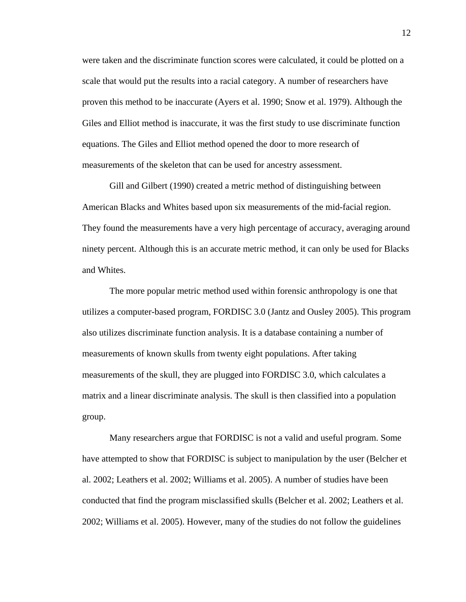were taken and the discriminate function scores were calculated, it could be plotted on a scale that would put the results into a racial category. A number of researchers have proven this method to be inaccurate (Ayers et al. 1990; Snow et al. 1979). Although the Giles and Elliot method is inaccurate, it was the first study to use discriminate function equations. The Giles and Elliot method opened the door to more research of measurements of the skeleton that can be used for ancestry assessment.

Gill and Gilbert (1990) created a metric method of distinguishing between American Blacks and Whites based upon six measurements of the mid-facial region. They found the measurements have a very high percentage of accuracy, averaging around ninety percent. Although this is an accurate metric method, it can only be used for Blacks and Whites.

The more popular metric method used within forensic anthropology is one that utilizes a computer-based program, FORDISC 3.0 (Jantz and Ousley 2005). This program also utilizes discriminate function analysis. It is a database containing a number of measurements of known skulls from twenty eight populations. After taking measurements of the skull, they are plugged into FORDISC 3.0, which calculates a matrix and a linear discriminate analysis. The skull is then classified into a population group.

Many researchers argue that FORDISC is not a valid and useful program. Some have attempted to show that FORDISC is subject to manipulation by the user (Belcher et al. 2002; Leathers et al. 2002; Williams et al. 2005). A number of studies have been conducted that find the program misclassified skulls (Belcher et al. 2002; Leathers et al. 2002; Williams et al. 2005). However, many of the studies do not follow the guidelines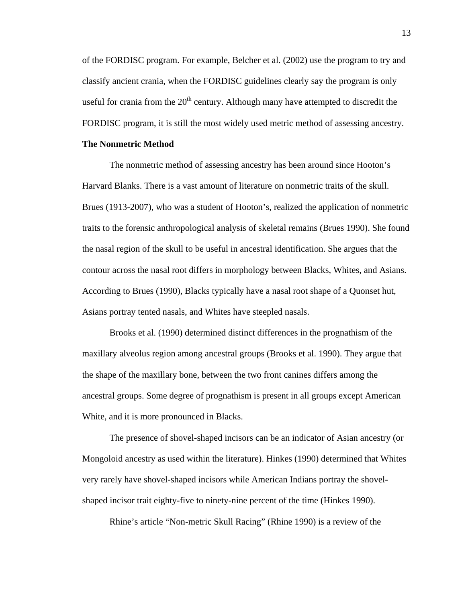of the FORDISC program. For example, Belcher et al. (2002) use the program to try and classify ancient crania, when the FORDISC guidelines clearly say the program is only useful for crania from the  $20<sup>th</sup>$  century. Although many have attempted to discredit the FORDISC program, it is still the most widely used metric method of assessing ancestry.

### **The Nonmetric Method**

 The nonmetric method of assessing ancestry has been around since Hooton's Harvard Blanks. There is a vast amount of literature on nonmetric traits of the skull. Brues (1913-2007), who was a student of Hooton's, realized the application of nonmetric traits to the forensic anthropological analysis of skeletal remains (Brues 1990). She found the nasal region of the skull to be useful in ancestral identification. She argues that the contour across the nasal root differs in morphology between Blacks, Whites, and Asians. According to Brues (1990), Blacks typically have a nasal root shape of a Quonset hut, Asians portray tented nasals, and Whites have steepled nasals.

Brooks et al. (1990) determined distinct differences in the prognathism of the maxillary alveolus region among ancestral groups (Brooks et al. 1990). They argue that the shape of the maxillary bone, between the two front canines differs among the ancestral groups. Some degree of prognathism is present in all groups except American White, and it is more pronounced in Blacks.

The presence of shovel-shaped incisors can be an indicator of Asian ancestry (or Mongoloid ancestry as used within the literature). Hinkes (1990) determined that Whites very rarely have shovel-shaped incisors while American Indians portray the shovelshaped incisor trait eighty-five to ninety-nine percent of the time (Hinkes 1990).

Rhine's article "Non-metric Skull Racing" (Rhine 1990) is a review of the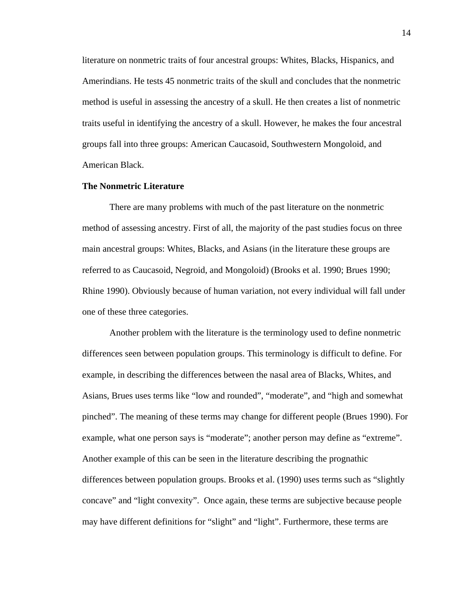literature on nonmetric traits of four ancestral groups: Whites, Blacks, Hispanics, and Amerindians. He tests 45 nonmetric traits of the skull and concludes that the nonmetric method is useful in assessing the ancestry of a skull. He then creates a list of nonmetric traits useful in identifying the ancestry of a skull. However, he makes the four ancestral groups fall into three groups: American Caucasoid, Southwestern Mongoloid, and American Black.

# **The Nonmetric Literature**

There are many problems with much of the past literature on the nonmetric method of assessing ancestry. First of all, the majority of the past studies focus on three main ancestral groups: Whites, Blacks, and Asians (in the literature these groups are referred to as Caucasoid, Negroid, and Mongoloid) (Brooks et al. 1990; Brues 1990; Rhine 1990). Obviously because of human variation, not every individual will fall under one of these three categories.

Another problem with the literature is the terminology used to define nonmetric differences seen between population groups. This terminology is difficult to define. For example, in describing the differences between the nasal area of Blacks, Whites, and Asians, Brues uses terms like "low and rounded", "moderate", and "high and somewhat pinched". The meaning of these terms may change for different people (Brues 1990). For example, what one person says is "moderate"; another person may define as "extreme". Another example of this can be seen in the literature describing the prognathic differences between population groups. Brooks et al. (1990) uses terms such as "slightly concave" and "light convexity". Once again, these terms are subjective because people may have different definitions for "slight" and "light". Furthermore, these terms are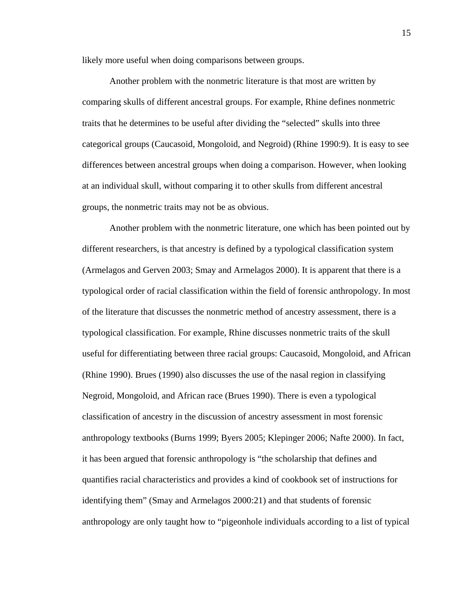likely more useful when doing comparisons between groups.

Another problem with the nonmetric literature is that most are written by comparing skulls of different ancestral groups. For example, Rhine defines nonmetric traits that he determines to be useful after dividing the "selected" skulls into three categorical groups (Caucasoid, Mongoloid, and Negroid) (Rhine 1990:9). It is easy to see differences between ancestral groups when doing a comparison. However, when looking at an individual skull, without comparing it to other skulls from different ancestral groups, the nonmetric traits may not be as obvious.

Another problem with the nonmetric literature, one which has been pointed out by different researchers, is that ancestry is defined by a typological classification system (Armelagos and Gerven 2003; Smay and Armelagos 2000). It is apparent that there is a typological order of racial classification within the field of forensic anthropology. In most of the literature that discusses the nonmetric method of ancestry assessment, there is a typological classification. For example, Rhine discusses nonmetric traits of the skull useful for differentiating between three racial groups: Caucasoid, Mongoloid, and African (Rhine 1990). Brues (1990) also discusses the use of the nasal region in classifying Negroid, Mongoloid, and African race (Brues 1990). There is even a typological classification of ancestry in the discussion of ancestry assessment in most forensic anthropology textbooks (Burns 1999; Byers 2005; Klepinger 2006; Nafte 2000). In fact, it has been argued that forensic anthropology is "the scholarship that defines and quantifies racial characteristics and provides a kind of cookbook set of instructions for identifying them" (Smay and Armelagos 2000:21) and that students of forensic anthropology are only taught how to "pigeonhole individuals according to a list of typical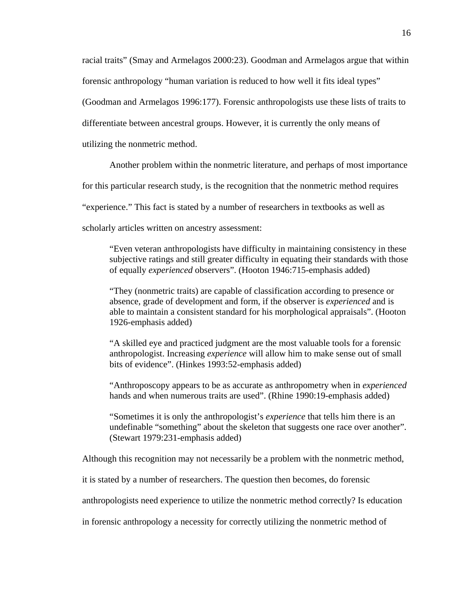racial traits" (Smay and Armelagos 2000:23). Goodman and Armelagos argue that within forensic anthropology "human variation is reduced to how well it fits ideal types" (Goodman and Armelagos 1996:177). Forensic anthropologists use these lists of traits to differentiate between ancestral groups. However, it is currently the only means of utilizing the nonmetric method.

Another problem within the nonmetric literature, and perhaps of most importance

for this particular research study, is the recognition that the nonmetric method requires

"experience." This fact is stated by a number of researchers in textbooks as well as

scholarly articles written on ancestry assessment:

"Even veteran anthropologists have difficulty in maintaining consistency in these subjective ratings and still greater difficulty in equating their standards with those of equally *experienced* observers". (Hooton 1946:715-emphasis added)

"They (nonmetric traits) are capable of classification according to presence or absence, grade of development and form, if the observer is *experienced* and is able to maintain a consistent standard for his morphological appraisals". (Hooton 1926-emphasis added)

"A skilled eye and practiced judgment are the most valuable tools for a forensic anthropologist. Increasing *experience* will allow him to make sense out of small bits of evidence". (Hinkes 1993:52-emphasis added)

"Anthroposcopy appears to be as accurate as anthropometry when in *experienced*  hands and when numerous traits are used". (Rhine 1990:19-emphasis added)

"Sometimes it is only the anthropologist's *experience* that tells him there is an undefinable "something" about the skeleton that suggests one race over another". (Stewart 1979:231-emphasis added)

Although this recognition may not necessarily be a problem with the nonmetric method,

it is stated by a number of researchers. The question then becomes, do forensic

anthropologists need experience to utilize the nonmetric method correctly? Is education

in forensic anthropology a necessity for correctly utilizing the nonmetric method of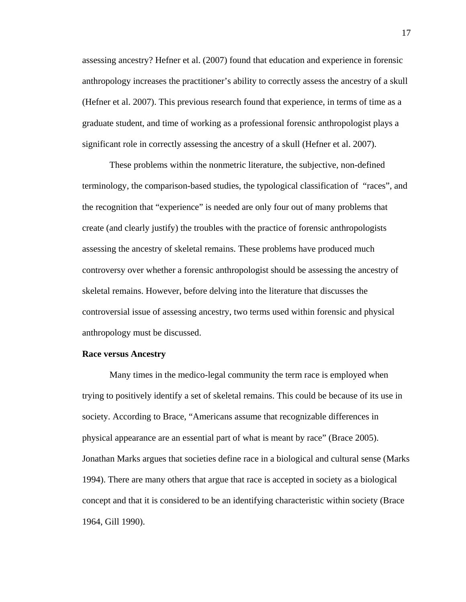assessing ancestry? Hefner et al. (2007) found that education and experience in forensic anthropology increases the practitioner's ability to correctly assess the ancestry of a skull (Hefner et al. 2007). This previous research found that experience, in terms of time as a graduate student, and time of working as a professional forensic anthropologist plays a significant role in correctly assessing the ancestry of a skull (Hefner et al. 2007).

These problems within the nonmetric literature, the subjective, non-defined terminology, the comparison-based studies, the typological classification of "races", and the recognition that "experience" is needed are only four out of many problems that create (and clearly justify) the troubles with the practice of forensic anthropologists assessing the ancestry of skeletal remains. These problems have produced much controversy over whether a forensic anthropologist should be assessing the ancestry of skeletal remains. However, before delving into the literature that discusses the controversial issue of assessing ancestry, two terms used within forensic and physical anthropology must be discussed.

#### **Race versus Ancestry**

Many times in the medico-legal community the term race is employed when trying to positively identify a set of skeletal remains. This could be because of its use in society. According to Brace, "Americans assume that recognizable differences in physical appearance are an essential part of what is meant by race" (Brace 2005). Jonathan Marks argues that societies define race in a biological and cultural sense (Marks 1994). There are many others that argue that race is accepted in society as a biological concept and that it is considered to be an identifying characteristic within society (Brace 1964, Gill 1990).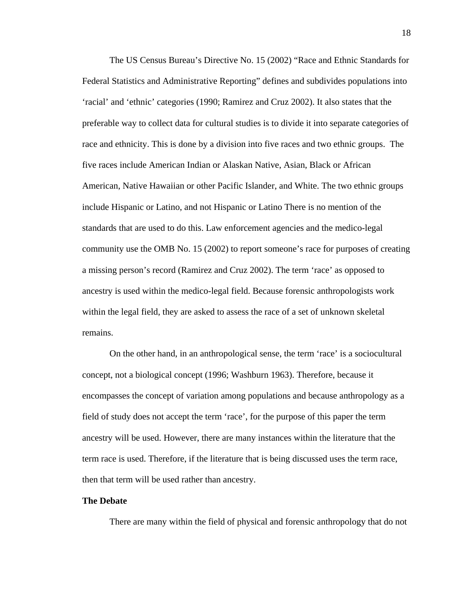The US Census Bureau's Directive No. 15 (2002) "Race and Ethnic Standards for Federal Statistics and Administrative Reporting" defines and subdivides populations into 'racial' and 'ethnic' categories (1990; Ramirez and Cruz 2002). It also states that the preferable way to collect data for cultural studies is to divide it into separate categories of race and ethnicity. This is done by a division into five races and two ethnic groups. The five races include American Indian or Alaskan Native, Asian, Black or African American, Native Hawaiian or other Pacific Islander, and White. The two ethnic groups include Hispanic or Latino, and not Hispanic or Latino There is no mention of the standards that are used to do this. Law enforcement agencies and the medico-legal community use the OMB No. 15 (2002) to report someone's race for purposes of creating a missing person's record (Ramirez and Cruz 2002). The term 'race' as opposed to ancestry is used within the medico-legal field. Because forensic anthropologists work within the legal field, they are asked to assess the race of a set of unknown skeletal remains.

On the other hand, in an anthropological sense, the term 'race' is a sociocultural concept, not a biological concept (1996; Washburn 1963). Therefore, because it encompasses the concept of variation among populations and because anthropology as a field of study does not accept the term 'race', for the purpose of this paper the term ancestry will be used. However, there are many instances within the literature that the term race is used. Therefore, if the literature that is being discussed uses the term race, then that term will be used rather than ancestry.

# **The Debate**

There are many within the field of physical and forensic anthropology that do not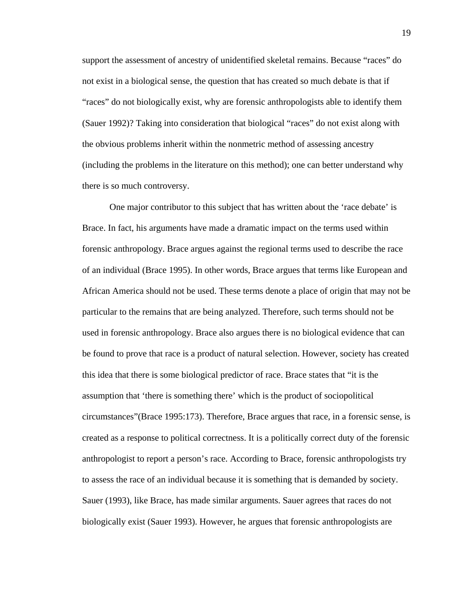support the assessment of ancestry of unidentified skeletal remains. Because "races" do not exist in a biological sense, the question that has created so much debate is that if "races" do not biologically exist, why are forensic anthropologists able to identify them (Sauer 1992)? Taking into consideration that biological "races" do not exist along with the obvious problems inherit within the nonmetric method of assessing ancestry (including the problems in the literature on this method); one can better understand why there is so much controversy.

One major contributor to this subject that has written about the 'race debate' is Brace. In fact, his arguments have made a dramatic impact on the terms used within forensic anthropology. Brace argues against the regional terms used to describe the race of an individual (Brace 1995). In other words, Brace argues that terms like European and African America should not be used. These terms denote a place of origin that may not be particular to the remains that are being analyzed. Therefore, such terms should not be used in forensic anthropology. Brace also argues there is no biological evidence that can be found to prove that race is a product of natural selection. However, society has created this idea that there is some biological predictor of race. Brace states that "it is the assumption that 'there is something there' which is the product of sociopolitical circumstances"(Brace 1995:173). Therefore, Brace argues that race, in a forensic sense, is created as a response to political correctness. It is a politically correct duty of the forensic anthropologist to report a person's race. According to Brace, forensic anthropologists try to assess the race of an individual because it is something that is demanded by society. Sauer (1993), like Brace, has made similar arguments. Sauer agrees that races do not biologically exist (Sauer 1993). However, he argues that forensic anthropologists are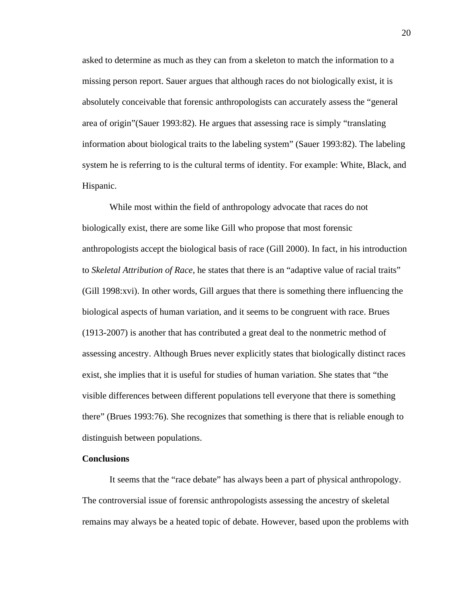asked to determine as much as they can from a skeleton to match the information to a missing person report. Sauer argues that although races do not biologically exist, it is absolutely conceivable that forensic anthropologists can accurately assess the "general area of origin"(Sauer 1993:82). He argues that assessing race is simply "translating information about biological traits to the labeling system" (Sauer 1993:82). The labeling system he is referring to is the cultural terms of identity. For example: White, Black, and Hispanic.

While most within the field of anthropology advocate that races do not biologically exist, there are some like Gill who propose that most forensic anthropologists accept the biological basis of race (Gill 2000). In fact, in his introduction to *Skeletal Attribution of Race*, he states that there is an "adaptive value of racial traits" (Gill 1998:xvi). In other words, Gill argues that there is something there influencing the biological aspects of human variation, and it seems to be congruent with race. Brues (1913-2007) is another that has contributed a great deal to the nonmetric method of assessing ancestry. Although Brues never explicitly states that biologically distinct races exist, she implies that it is useful for studies of human variation. She states that "the visible differences between different populations tell everyone that there is something there" (Brues 1993:76). She recognizes that something is there that is reliable enough to distinguish between populations.

# **Conclusions**

It seems that the "race debate" has always been a part of physical anthropology. The controversial issue of forensic anthropologists assessing the ancestry of skeletal remains may always be a heated topic of debate. However, based upon the problems with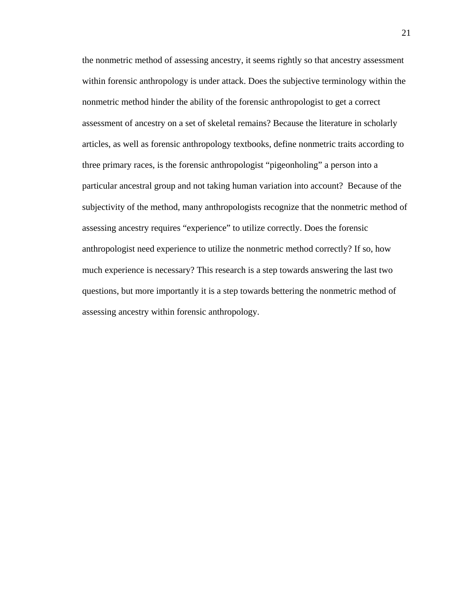the nonmetric method of assessing ancestry, it seems rightly so that ancestry assessment within forensic anthropology is under attack. Does the subjective terminology within the nonmetric method hinder the ability of the forensic anthropologist to get a correct assessment of ancestry on a set of skeletal remains? Because the literature in scholarly articles, as well as forensic anthropology textbooks, define nonmetric traits according to three primary races, is the forensic anthropologist "pigeonholing" a person into a particular ancestral group and not taking human variation into account? Because of the subjectivity of the method, many anthropologists recognize that the nonmetric method of assessing ancestry requires "experience" to utilize correctly. Does the forensic anthropologist need experience to utilize the nonmetric method correctly? If so, how much experience is necessary? This research is a step towards answering the last two questions, but more importantly it is a step towards bettering the nonmetric method of assessing ancestry within forensic anthropology.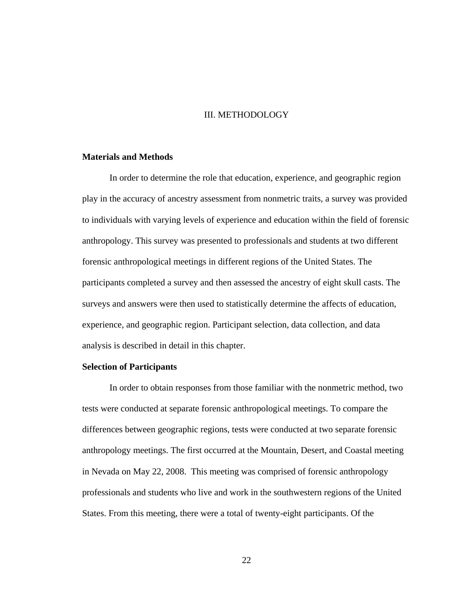# III. METHODOLOGY

#### **Materials and Methods**

In order to determine the role that education, experience, and geographic region play in the accuracy of ancestry assessment from nonmetric traits, a survey was provided to individuals with varying levels of experience and education within the field of forensic anthropology. This survey was presented to professionals and students at two different forensic anthropological meetings in different regions of the United States. The participants completed a survey and then assessed the ancestry of eight skull casts. The surveys and answers were then used to statistically determine the affects of education, experience, and geographic region. Participant selection, data collection, and data analysis is described in detail in this chapter.

#### **Selection of Participants**

In order to obtain responses from those familiar with the nonmetric method, two tests were conducted at separate forensic anthropological meetings. To compare the differences between geographic regions, tests were conducted at two separate forensic anthropology meetings. The first occurred at the Mountain, Desert, and Coastal meeting in Nevada on May 22, 2008. This meeting was comprised of forensic anthropology professionals and students who live and work in the southwestern regions of the United States. From this meeting, there were a total of twenty-eight participants. Of the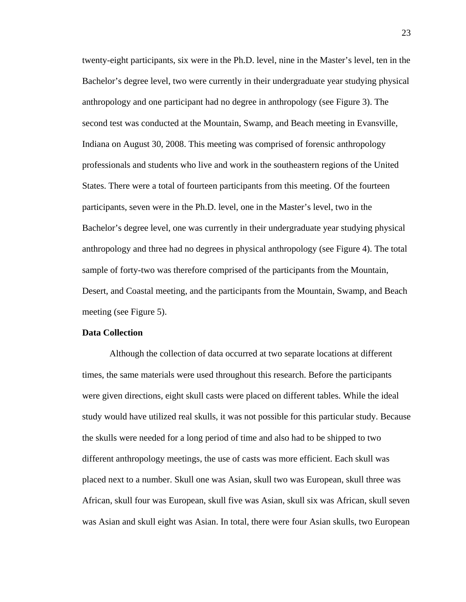twenty-eight participants, six were in the Ph.D. level, nine in the Master's level, ten in the Bachelor's degree level, two were currently in their undergraduate year studying physical anthropology and one participant had no degree in anthropology (see Figure 3). The second test was conducted at the Mountain, Swamp, and Beach meeting in Evansville, Indiana on August 30, 2008. This meeting was comprised of forensic anthropology professionals and students who live and work in the southeastern regions of the United States. There were a total of fourteen participants from this meeting. Of the fourteen participants, seven were in the Ph.D. level, one in the Master's level, two in the Bachelor's degree level, one was currently in their undergraduate year studying physical anthropology and three had no degrees in physical anthropology (see Figure 4). The total sample of forty-two was therefore comprised of the participants from the Mountain, Desert, and Coastal meeting, and the participants from the Mountain, Swamp, and Beach meeting (see Figure 5).

#### **Data Collection**

Although the collection of data occurred at two separate locations at different times, the same materials were used throughout this research. Before the participants were given directions, eight skull casts were placed on different tables. While the ideal study would have utilized real skulls, it was not possible for this particular study. Because the skulls were needed for a long period of time and also had to be shipped to two different anthropology meetings, the use of casts was more efficient. Each skull was placed next to a number. Skull one was Asian, skull two was European, skull three was African, skull four was European, skull five was Asian, skull six was African, skull seven was Asian and skull eight was Asian. In total, there were four Asian skulls, two European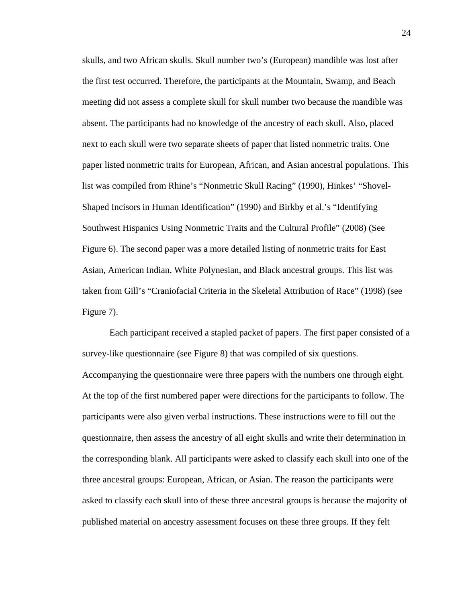skulls, and two African skulls. Skull number two's (European) mandible was lost after the first test occurred. Therefore, the participants at the Mountain, Swamp, and Beach meeting did not assess a complete skull for skull number two because the mandible was absent. The participants had no knowledge of the ancestry of each skull. Also, placed next to each skull were two separate sheets of paper that listed nonmetric traits. One paper listed nonmetric traits for European, African, and Asian ancestral populations. This list was compiled from Rhine's "Nonmetric Skull Racing" (1990), Hinkes' "Shovel-Shaped Incisors in Human Identification" (1990) and Birkby et al.'s "Identifying Southwest Hispanics Using Nonmetric Traits and the Cultural Profile" (2008) (See Figure 6). The second paper was a more detailed listing of nonmetric traits for East Asian, American Indian, White Polynesian, and Black ancestral groups. This list was taken from Gill's "Craniofacial Criteria in the Skeletal Attribution of Race" (1998) (see Figure 7).

Each participant received a stapled packet of papers. The first paper consisted of a survey-like questionnaire (see Figure 8) that was compiled of six questions. Accompanying the questionnaire were three papers with the numbers one through eight. At the top of the first numbered paper were directions for the participants to follow. The participants were also given verbal instructions. These instructions were to fill out the questionnaire, then assess the ancestry of all eight skulls and write their determination in the corresponding blank. All participants were asked to classify each skull into one of the three ancestral groups: European, African, or Asian. The reason the participants were asked to classify each skull into of these three ancestral groups is because the majority of published material on ancestry assessment focuses on these three groups. If they felt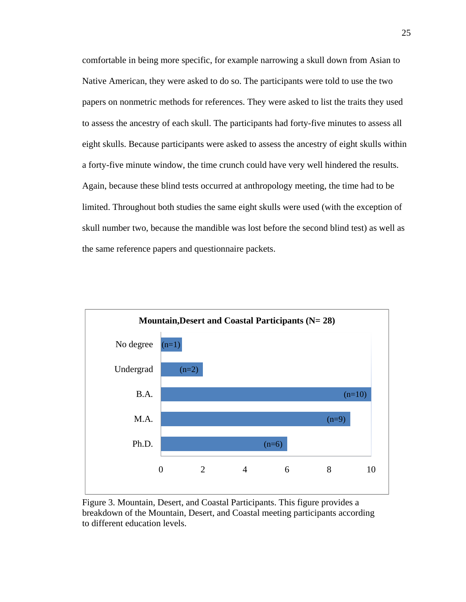comfortable in being more specific, for example narrowing a skull down from Asian to Native American, they were asked to do so. The participants were told to use the two papers on nonmetric methods for references. They were asked to list the traits they used to assess the ancestry of each skull. The participants had forty-five minutes to assess all eight skulls. Because participants were asked to assess the ancestry of eight skulls within a forty-five minute window, the time crunch could have very well hindered the results. Again, because these blind tests occurred at anthropology meeting, the time had to be limited. Throughout both studies the same eight skulls were used (with the exception of skull number two, because the mandible was lost before the second blind test) as well as the same reference papers and questionnaire packets.



Figure 3. Mountain, Desert, and Coastal Participants. This figure provides a breakdown of the Mountain, Desert, and Coastal meeting participants according to different education levels.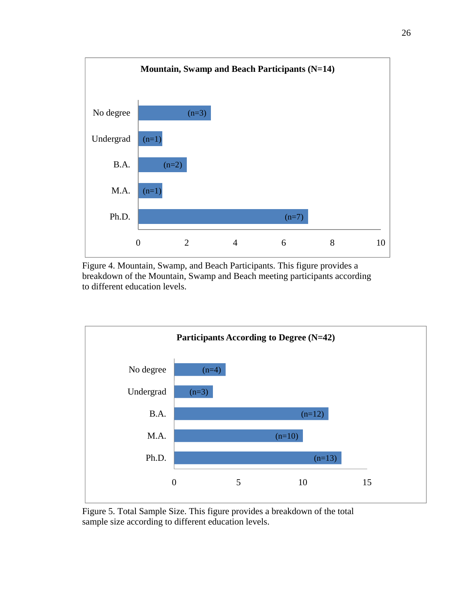

Figure 4. Mountain, Swamp, and Beach Participants. This figure provides a breakdown of the Mountain, Swamp and Beach meeting participants according to different education levels.



Figure 5. Total Sample Size. This figure provides a breakdown of the total sample size according to different education levels.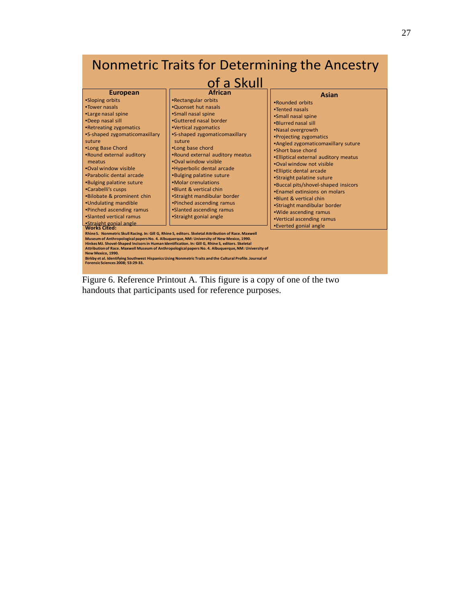# Nonmetric Traits for Determining the Ancestry of a Skull

| <b>European</b>                                                                                                                                                                                                                                                                                                                                                                                                                                                               | <b>African</b>                                                                                                                                                                                                                                                                                                                                                                                                                                                                                                                                                                                                                                                                                                                                                                   | Asian                                                                                                                                                                                                                                                                                                                                                                                                                                                                                                                                        |
|-------------------------------------------------------------------------------------------------------------------------------------------------------------------------------------------------------------------------------------------------------------------------------------------------------------------------------------------------------------------------------------------------------------------------------------------------------------------------------|----------------------------------------------------------------------------------------------------------------------------------------------------------------------------------------------------------------------------------------------------------------------------------------------------------------------------------------------------------------------------------------------------------------------------------------------------------------------------------------------------------------------------------------------------------------------------------------------------------------------------------------------------------------------------------------------------------------------------------------------------------------------------------|----------------------------------------------------------------------------------------------------------------------------------------------------------------------------------------------------------------------------------------------------------------------------------------------------------------------------------------------------------------------------------------------------------------------------------------------------------------------------------------------------------------------------------------------|
| •Sloping orbits<br>•Tower nasals<br>•Large nasal spine<br>•Deep nasal sill<br>•Retreating zygomatics<br>•S-shaped zygomaticomaxillary<br>suture<br>•Long Base Chord<br>.Round external auditory<br>meatus<br>.Oval window visible<br>.Parabolic dental arcade<br>•Bulging palatine suture<br>•Carabelli's cusps<br>.Bilobate & prominent chin<br>•Undulating mandible<br>•Pinched ascending ramus<br>.Slanted vertical ramus<br>•Straight gonial angle<br><b>Works Cited:</b> | •Rectangular orbits<br>.Quonset hut nasals<br>•Small nasal spine<br>•Guttered nasal border<br>•Vertical zygomatics<br>•S-shaped zygomaticomaxillary<br>suture<br>.Long base chord<br>.Round external auditory meatus<br>.Oval window visible<br>•Hyperbolic dental arcade<br>•Bulging palatine suture<br>•Molar crenulations<br>.Blunt & vertical chin<br>•Straight mandibular border<br>•Pinched ascending ramus<br>•Slanted ascending ramus<br>•Straight gonial angle<br>Rhine S. Nonmetric Skull Racing. In: Gill G, Rhine S, editors. Skeletal Attribution of Race. Maxwell<br>Museum of Anthropological papers No. 4. Albuquerque, NM: University of New Mexico, 1990.<br>Hinkes MJ. Shovel-Shaped Incisors in Human Identification. In: Gill G, Rhine S, editors. Skeletal | .Rounded orbits<br>•Tented nasals<br>·Small nasal spine<br>.Blurred nasal sill<br>.Nasal overgrowth<br>•Projecting zygomatics<br>•Angled zygomaticomaxillary suture<br>.Short base chord<br>•Elliptical external auditory meatus<br>.Oval window not visible<br><b>.</b> Elliptic dental arcade<br>•Straight palatine suture<br>•Buccal pits/shovel-shaped insicors<br>. Enamel extinsions on molars<br>.Blunt & vertical chin<br>•Striaght mandibular border<br>.Wide ascending ramus<br>•Vertical ascending ramus<br>•Everted gonial angle |
| New Mexico. 1990.                                                                                                                                                                                                                                                                                                                                                                                                                                                             | Attribution of Race. Maxwell Museum of Anthropological papers No. 4. Albuquerque, NM: University of                                                                                                                                                                                                                                                                                                                                                                                                                                                                                                                                                                                                                                                                              |                                                                                                                                                                                                                                                                                                                                                                                                                                                                                                                                              |
| <b>Forensic Sciences 2008: 53:29-33.</b>                                                                                                                                                                                                                                                                                                                                                                                                                                      | Birkby et al. Identifying Southwest Hispanics Using Nonmetric Traits and the Cultural Profile. Journal of                                                                                                                                                                                                                                                                                                                                                                                                                                                                                                                                                                                                                                                                        |                                                                                                                                                                                                                                                                                                                                                                                                                                                                                                                                              |

Figure 6. Reference Printout A. This figure is a copy of one of the two handouts that participants used for reference purposes.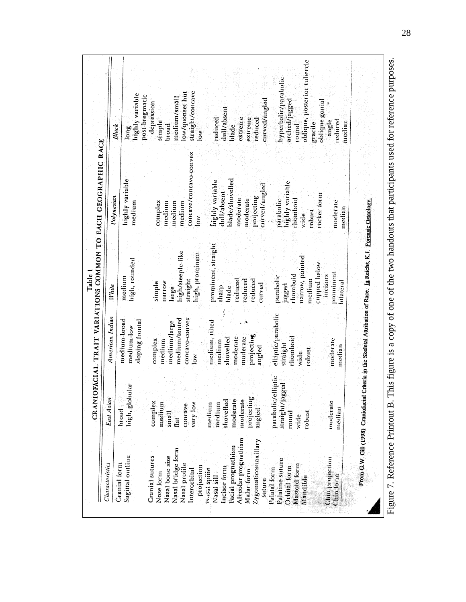| Characteristics                                                                                                                          | East Asian                                                                    | American Indian                                                                       | <b>White</b>                                                                     | Polynesian                                                                                               |                                                                                             |
|------------------------------------------------------------------------------------------------------------------------------------------|-------------------------------------------------------------------------------|---------------------------------------------------------------------------------------|----------------------------------------------------------------------------------|----------------------------------------------------------------------------------------------------------|---------------------------------------------------------------------------------------------|
| Sagittal outline<br>Cranial form                                                                                                         | high, globular<br><b>broad</b>                                                | medium-broad<br>sloping frontal<br>medium-low                                         | high, rounded<br>medium                                                          | highly variable<br>medium                                                                                | highly variable<br>post-bregmatic<br><b>Black</b><br>long                                   |
| Nasal bridge form<br>Cranial sutures<br>Nasal bone size<br>Nasal profile<br>projection<br>Interorbital<br>Nose form                      | complex<br>medium<br>very low<br>concave<br>$\frac{1}{2}$<br>lat<br>          | concavo-convex<br>medium/tented<br>medium/large<br>complex<br>medium<br>low           | high/steeple-like<br>high, prominem<br>straight<br>паггом<br>simple<br>large     | concave/concavo-convex<br>complex<br>medium<br>medium<br>medium<br>ίŏγ                                   | straight/concave<br>low/quonset hut<br>medium/small<br>depression<br>simple<br>broad<br>low |
| Alveolar prognathism<br>Zygomaticomaxillary<br>Facial prognathism<br>Incisor form<br>ivasal spilie<br>Malar form<br>Nasal sill<br>suture | moderate<br>moderate<br>projecting<br>shovelled<br>medium<br>medium<br>angled | medium, tilted<br>projecting<br>moderate<br>moderate<br>shovelled<br>medium<br>angled | prominent, straight<br>reduced<br>reduced<br>reduced<br>curved<br>blade<br>sharp | blade/shovelled<br>highly variable<br>curved/angled<br>dull/absent<br>projecting<br>moderate<br>moderate | curved/angled<br>dull/absent<br>reduced<br>extreme<br>extreme<br>reduced<br>blade           |
| Palatine suture<br>Mastoid form<br>Orbital form<br>Palatal form<br>Mandible                                                              | parabolic/elliptic<br><b>Igged</b><br>straight/ja<br>robust<br>round<br>wide  | elliptic/parabolic<br>diomboid<br>straight<br>robust<br>wide                          | narrow, pointed<br>cupped below<br>rhomboid<br>parabolic<br>medium<br>lagged     | highly variable<br>parabolic<br>rhomboid<br>robust<br>wide                                               | oblique, posterior tubercle<br>hyperbolic/parabolic<br>arched/jagged<br>gracile<br>pund     |
| Chinamojection<br>Chin Iorm                                                                                                              | moderate<br>median                                                            | moderate<br>median                                                                    | prominent<br>incisors<br>bilateral                                               | rocker form<br>moderate<br>median                                                                        | oblique gonial<br>angle<br>reduced<br>median                                                |

Figure 7. Reference Printout B. This figure is a copy of one of the two handouts that participants used for reference purposes. Figure 7. Reference Printout B. This figure is a copy of one of the two handouts that participants used for reference purposes.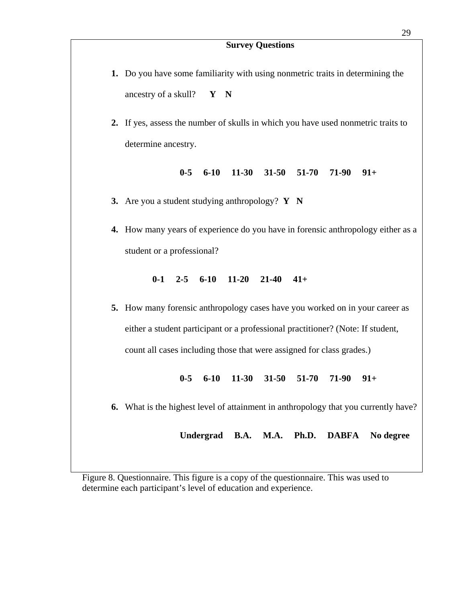#### **Survey Questions**

- **1.** Do you have some familiarity with using nonmetric traits in determining the ancestry of a skull? **Y N**
- **2.** If yes, assess the number of skulls in which you have used nonmetric traits to determine ancestry.

**0-5 6-10 11-30 31-50 51-70 71-90 91+** 

- **3.** Are you a student studying anthropology? **Y N**
- **4.** How many years of experience do you have in forensic anthropology either as a student or a professional?

#### **0-1 2-5 6-10 11-20 21-40 41+**

**5.** How many forensic anthropology cases have you worked on in your career as either a student participant or a professional practitioner? (Note: If student, count all cases including those that were assigned for class grades.)

**0-5 6-10 11-30 31-50 51-70 71-90 91+** 

**6.** What is the highest level of attainment in anthropology that you currently have?

**Undergrad B.A. M.A. Ph.D. DABFA No degree**

Figure 8. Questionnaire. This figure is a copy of the questionnaire. This was used to determine each participant's level of education and experience.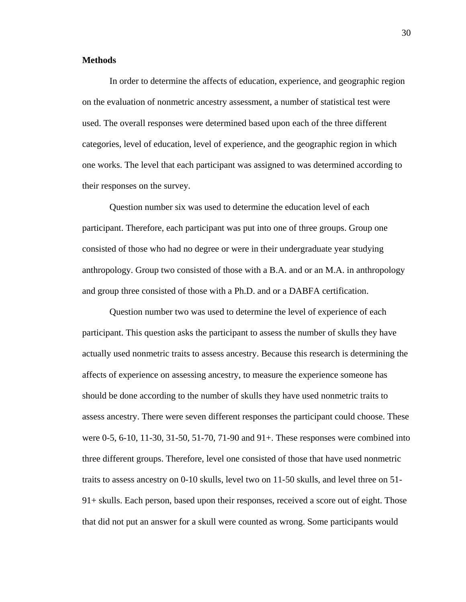# **Methods**

In order to determine the affects of education, experience, and geographic region on the evaluation of nonmetric ancestry assessment, a number of statistical test were used. The overall responses were determined based upon each of the three different categories, level of education, level of experience, and the geographic region in which one works. The level that each participant was assigned to was determined according to their responses on the survey.

Question number six was used to determine the education level of each participant. Therefore, each participant was put into one of three groups. Group one consisted of those who had no degree or were in their undergraduate year studying anthropology. Group two consisted of those with a B.A. and or an M.A. in anthropology and group three consisted of those with a Ph.D. and or a DABFA certification.

Question number two was used to determine the level of experience of each participant. This question asks the participant to assess the number of skulls they have actually used nonmetric traits to assess ancestry. Because this research is determining the affects of experience on assessing ancestry, to measure the experience someone has should be done according to the number of skulls they have used nonmetric traits to assess ancestry. There were seven different responses the participant could choose. These were 0-5, 6-10, 11-30, 31-50, 51-70, 71-90 and 91+. These responses were combined into three different groups. Therefore, level one consisted of those that have used nonmetric traits to assess ancestry on 0-10 skulls, level two on 11-50 skulls, and level three on 51- 91+ skulls. Each person, based upon their responses, received a score out of eight. Those that did not put an answer for a skull were counted as wrong. Some participants would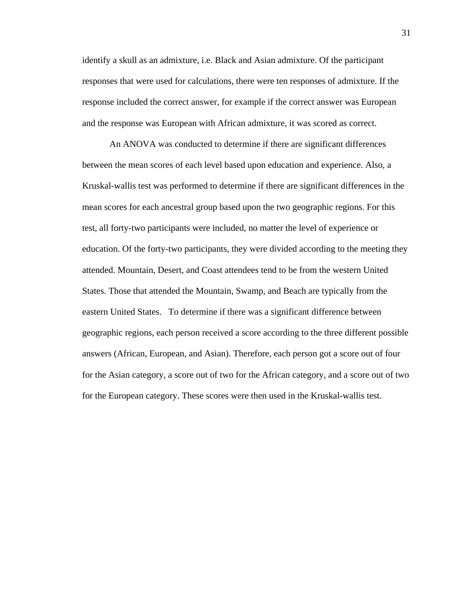identify a skull as an admixture, i.e. Black and Asian admixture. Of the participant responses that were used for calculations, there were ten responses of admixture. If the response included the correct answer, for example if the correct answer was European and the response was European with African admixture, it was scored as correct.

An ANOVA was conducted to determine if there are significant differences between the mean scores of each level based upon education and experience. Also, a Kruskal-wallis test was performed to determine if there are significant differences in the mean scores for each ancestral group based upon the two geographic regions. For this test, all forty-two participants were included, no matter the level of experience or education. Of the forty-two participants, they were divided according to the meeting they attended. Mountain, Desert, and Coast attendees tend to be from the western United States. Those that attended the Mountain, Swamp, and Beach are typically from the eastern United States. To determine if there was a significant difference between geographic regions, each person received a score according to the three different possible answers (African, European, and Asian). Therefore, each person got a score out of four for the Asian category, a score out of two for the African category, and a score out of two for the European category. These scores were then used in the Kruskal-wallis test.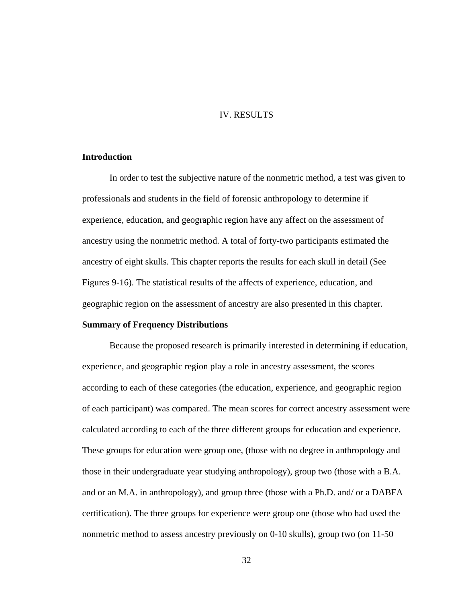# IV. RESULTS

# **Introduction**

In order to test the subjective nature of the nonmetric method, a test was given to professionals and students in the field of forensic anthropology to determine if experience, education, and geographic region have any affect on the assessment of ancestry using the nonmetric method. A total of forty-two participants estimated the ancestry of eight skulls. This chapter reports the results for each skull in detail (See Figures 9-16). The statistical results of the affects of experience, education, and geographic region on the assessment of ancestry are also presented in this chapter.

# **Summary of Frequency Distributions**

Because the proposed research is primarily interested in determining if education, experience, and geographic region play a role in ancestry assessment, the scores according to each of these categories (the education, experience, and geographic region of each participant) was compared. The mean scores for correct ancestry assessment were calculated according to each of the three different groups for education and experience. These groups for education were group one, (those with no degree in anthropology and those in their undergraduate year studying anthropology), group two (those with a B.A. and or an M.A. in anthropology), and group three (those with a Ph.D. and/ or a DABFA certification). The three groups for experience were group one (those who had used the nonmetric method to assess ancestry previously on 0-10 skulls), group two (on 11-50

32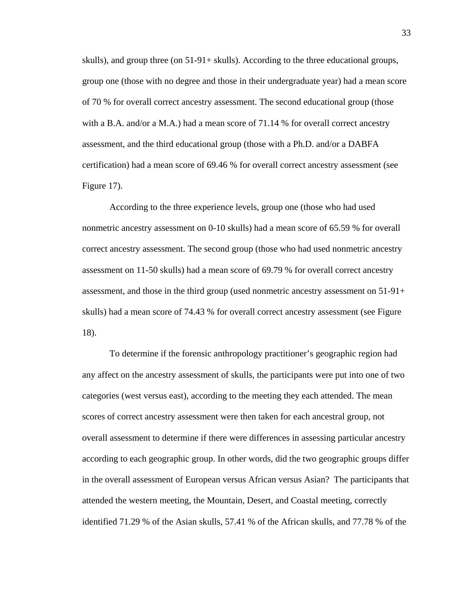skulls), and group three (on 51-91+ skulls). According to the three educational groups, group one (those with no degree and those in their undergraduate year) had a mean score of 70 % for overall correct ancestry assessment. The second educational group (those with a B.A. and/or a M.A.) had a mean score of 71.14 % for overall correct ancestry assessment, and the third educational group (those with a Ph.D. and/or a DABFA certification) had a mean score of 69.46 % for overall correct ancestry assessment (see Figure 17).

According to the three experience levels, group one (those who had used nonmetric ancestry assessment on 0-10 skulls) had a mean score of 65.59 % for overall correct ancestry assessment. The second group (those who had used nonmetric ancestry assessment on 11-50 skulls) had a mean score of 69.79 % for overall correct ancestry assessment, and those in the third group (used nonmetric ancestry assessment on 51-91+ skulls) had a mean score of 74.43 % for overall correct ancestry assessment (see Figure 18).

To determine if the forensic anthropology practitioner's geographic region had any affect on the ancestry assessment of skulls, the participants were put into one of two categories (west versus east), according to the meeting they each attended. The mean scores of correct ancestry assessment were then taken for each ancestral group, not overall assessment to determine if there were differences in assessing particular ancestry according to each geographic group. In other words, did the two geographic groups differ in the overall assessment of European versus African versus Asian? The participants that attended the western meeting, the Mountain, Desert, and Coastal meeting, correctly identified 71.29 % of the Asian skulls, 57.41 % of the African skulls, and 77.78 % of the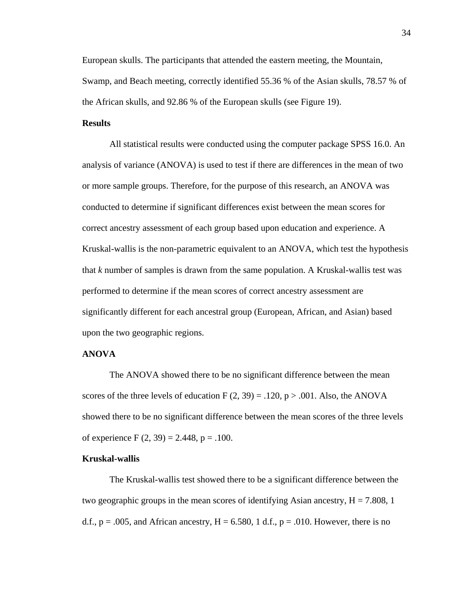European skulls. The participants that attended the eastern meeting, the Mountain, Swamp, and Beach meeting, correctly identified 55.36 % of the Asian skulls, 78.57 % of the African skulls, and 92.86 % of the European skulls (see Figure 19).

# **Results**

All statistical results were conducted using the computer package SPSS 16.0. An analysis of variance (ANOVA) is used to test if there are differences in the mean of two or more sample groups. Therefore, for the purpose of this research, an ANOVA was conducted to determine if significant differences exist between the mean scores for correct ancestry assessment of each group based upon education and experience. A Kruskal-wallis is the non-parametric equivalent to an ANOVA, which test the hypothesis that *k* number of samples is drawn from the same population. A Kruskal-wallis test was performed to determine if the mean scores of correct ancestry assessment are significantly different for each ancestral group (European, African, and Asian) based upon the two geographic regions.

# **ANOVA**

The ANOVA showed there to be no significant difference between the mean scores of the three levels of education  $F(2, 39) = .120$ ,  $p > .001$ . Also, the ANOVA showed there to be no significant difference between the mean scores of the three levels of experience F  $(2, 39) = 2.448$ , p = .100.

#### **Kruskal-wallis**

The Kruskal-wallis test showed there to be a significant difference between the two geographic groups in the mean scores of identifying Asian ancestry,  $H = 7.808$ , 1 d.f.,  $p = .005$ , and African ancestry,  $H = 6.580$ , 1 d.f.,  $p = .010$ . However, there is no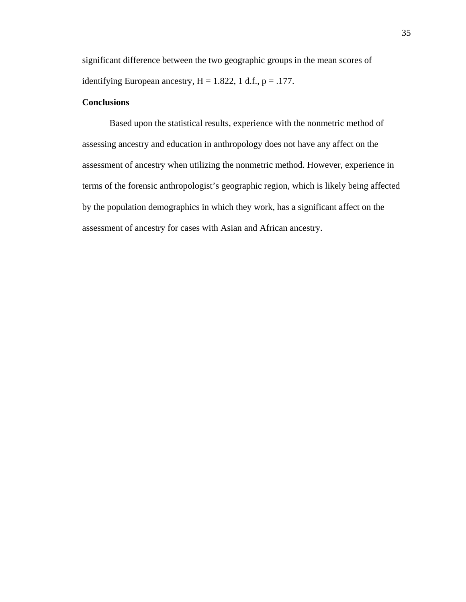significant difference between the two geographic groups in the mean scores of identifying European ancestry,  $H = 1.822$ , 1 d.f.,  $p = .177$ .

# **Conclusions**

Based upon the statistical results, experience with the nonmetric method of assessing ancestry and education in anthropology does not have any affect on the assessment of ancestry when utilizing the nonmetric method. However, experience in terms of the forensic anthropologist's geographic region, which is likely being affected by the population demographics in which they work, has a significant affect on the assessment of ancestry for cases with Asian and African ancestry.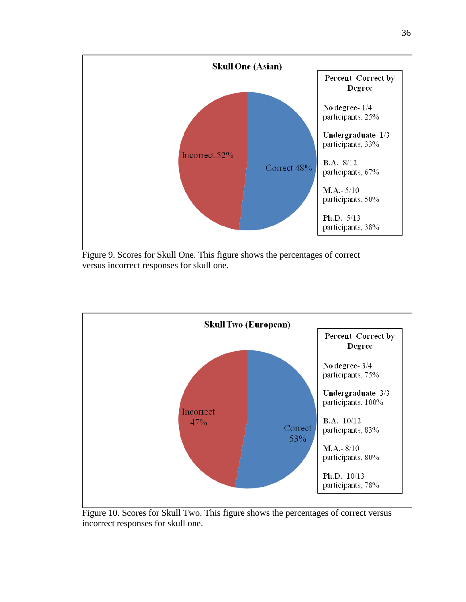

Figure 9. Scores for Skull One. This figure shows the percentages of correct versus incorrect responses for skull one.



Figure 10. Scores for Skull Two. This figure shows the percentages of correct versus incorrect responses for skull one.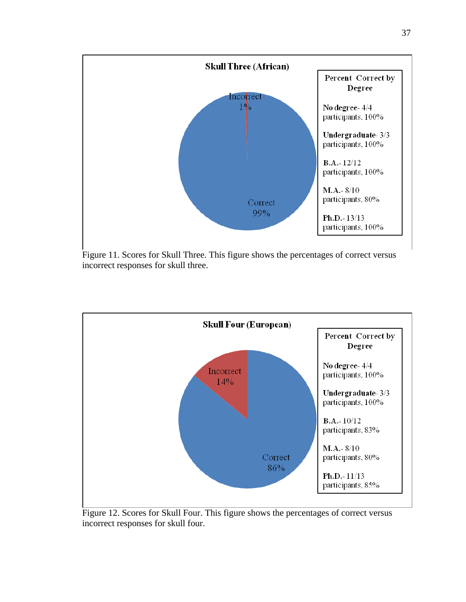

Figure 11. Scores for Skull Three. This figure shows the percentages of correct versus incorrect responses for skull three.



Figure 12. Scores for Skull Four. This figure shows the percentages of correct versus incorrect responses for skull four.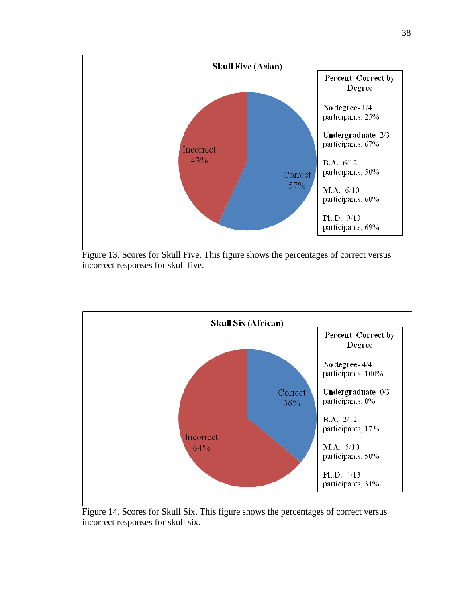

Figure 13. Scores for Skull Five. This figure shows the percentages of correct versus incorrect responses for skull five.



Figure 14. Scores for Skull Six. This figure shows the percentages of correct versus incorrect responses for skull six.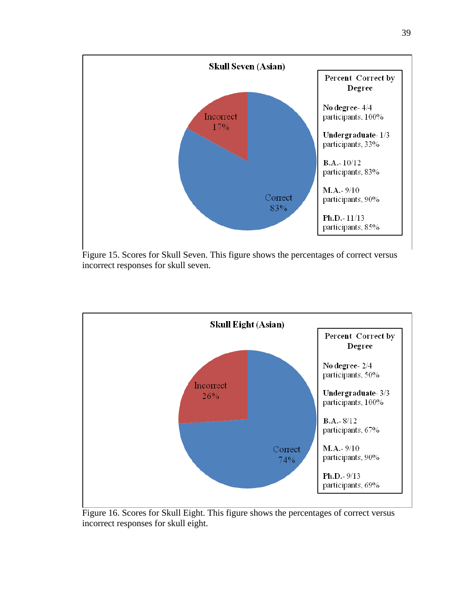

Figure 15. Scores for Skull Seven. This figure shows the percentages of correct versus incorrect responses for skull seven.



Figure 16. Scores for Skull Eight. This figure shows the percentages of correct versus incorrect responses for skull eight.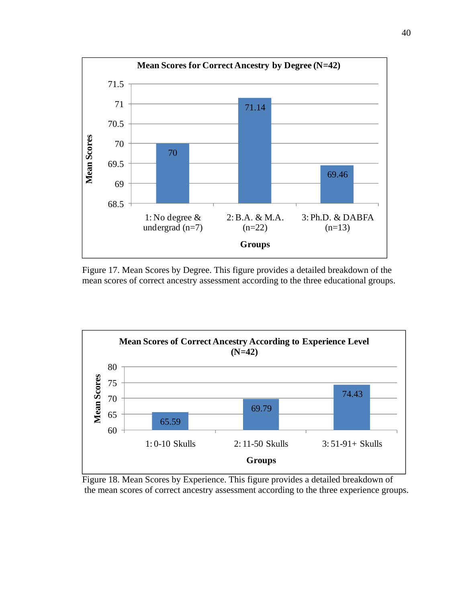

Figure 17. Mean Scores by Degree. This figure provides a detailed breakdown of the mean scores of correct ancestry assessment according to the three educational groups.



Figure 18. Mean Scores by Experience. This figure provides a detailed breakdown of the mean scores of correct ancestry assessment according to the three experience groups.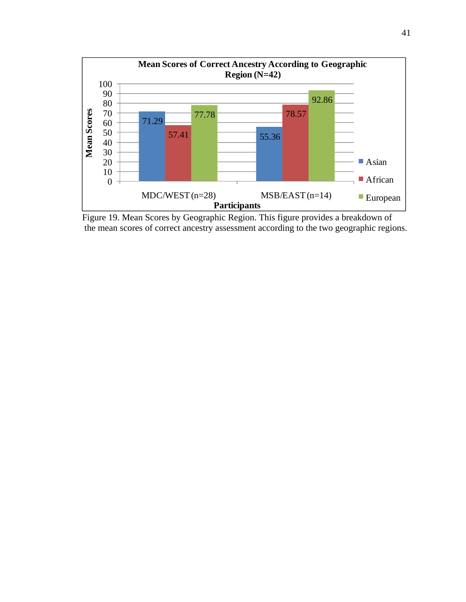

Figure 19. Mean Scores by Geographic Region. This figure provides a breakdown of the mean scores of correct ancestry assessment according to the two geographic regions.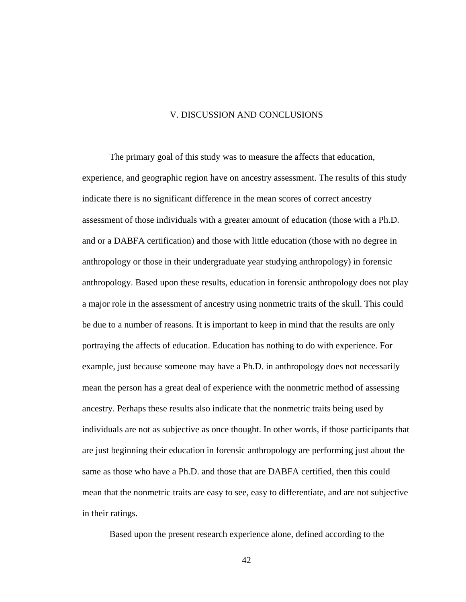# V. DISCUSSION AND CONCLUSIONS

The primary goal of this study was to measure the affects that education, experience, and geographic region have on ancestry assessment. The results of this study indicate there is no significant difference in the mean scores of correct ancestry assessment of those individuals with a greater amount of education (those with a Ph.D. and or a DABFA certification) and those with little education (those with no degree in anthropology or those in their undergraduate year studying anthropology) in forensic anthropology. Based upon these results, education in forensic anthropology does not play a major role in the assessment of ancestry using nonmetric traits of the skull. This could be due to a number of reasons. It is important to keep in mind that the results are only portraying the affects of education. Education has nothing to do with experience. For example, just because someone may have a Ph.D. in anthropology does not necessarily mean the person has a great deal of experience with the nonmetric method of assessing ancestry. Perhaps these results also indicate that the nonmetric traits being used by individuals are not as subjective as once thought. In other words, if those participants that are just beginning their education in forensic anthropology are performing just about the same as those who have a Ph.D. and those that are DABFA certified, then this could mean that the nonmetric traits are easy to see, easy to differentiate, and are not subjective in their ratings.

Based upon the present research experience alone, defined according to the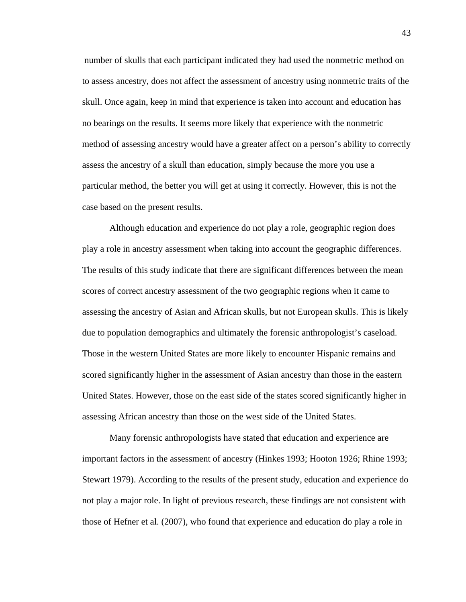number of skulls that each participant indicated they had used the nonmetric method on to assess ancestry, does not affect the assessment of ancestry using nonmetric traits of the skull. Once again, keep in mind that experience is taken into account and education has no bearings on the results. It seems more likely that experience with the nonmetric method of assessing ancestry would have a greater affect on a person's ability to correctly assess the ancestry of a skull than education, simply because the more you use a particular method, the better you will get at using it correctly. However, this is not the case based on the present results.

Although education and experience do not play a role, geographic region does play a role in ancestry assessment when taking into account the geographic differences. The results of this study indicate that there are significant differences between the mean scores of correct ancestry assessment of the two geographic regions when it came to assessing the ancestry of Asian and African skulls, but not European skulls. This is likely due to population demographics and ultimately the forensic anthropologist's caseload. Those in the western United States are more likely to encounter Hispanic remains and scored significantly higher in the assessment of Asian ancestry than those in the eastern United States. However, those on the east side of the states scored significantly higher in assessing African ancestry than those on the west side of the United States.

Many forensic anthropologists have stated that education and experience are important factors in the assessment of ancestry (Hinkes 1993; Hooton 1926; Rhine 1993; Stewart 1979). According to the results of the present study, education and experience do not play a major role. In light of previous research, these findings are not consistent with those of Hefner et al. (2007), who found that experience and education do play a role in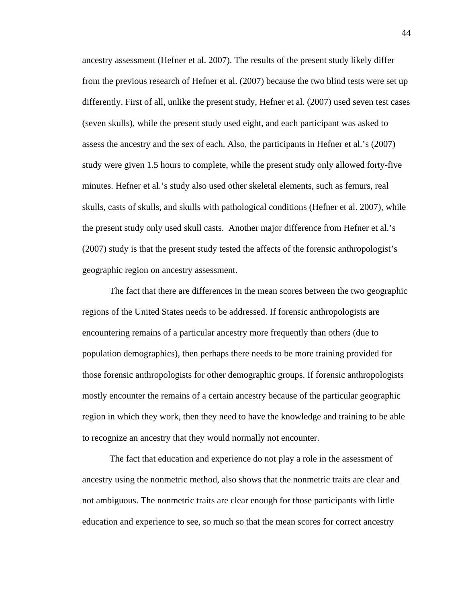ancestry assessment (Hefner et al. 2007). The results of the present study likely differ from the previous research of Hefner et al. (2007) because the two blind tests were set up differently. First of all, unlike the present study, Hefner et al. (2007) used seven test cases (seven skulls), while the present study used eight, and each participant was asked to assess the ancestry and the sex of each. Also, the participants in Hefner et al.'s (2007) study were given 1.5 hours to complete, while the present study only allowed forty-five minutes. Hefner et al.'s study also used other skeletal elements, such as femurs, real skulls, casts of skulls, and skulls with pathological conditions (Hefner et al. 2007), while the present study only used skull casts. Another major difference from Hefner et al.'s (2007) study is that the present study tested the affects of the forensic anthropologist's geographic region on ancestry assessment.

The fact that there are differences in the mean scores between the two geographic regions of the United States needs to be addressed. If forensic anthropologists are encountering remains of a particular ancestry more frequently than others (due to population demographics), then perhaps there needs to be more training provided for those forensic anthropologists for other demographic groups. If forensic anthropologists mostly encounter the remains of a certain ancestry because of the particular geographic region in which they work, then they need to have the knowledge and training to be able to recognize an ancestry that they would normally not encounter.

The fact that education and experience do not play a role in the assessment of ancestry using the nonmetric method, also shows that the nonmetric traits are clear and not ambiguous. The nonmetric traits are clear enough for those participants with little education and experience to see, so much so that the mean scores for correct ancestry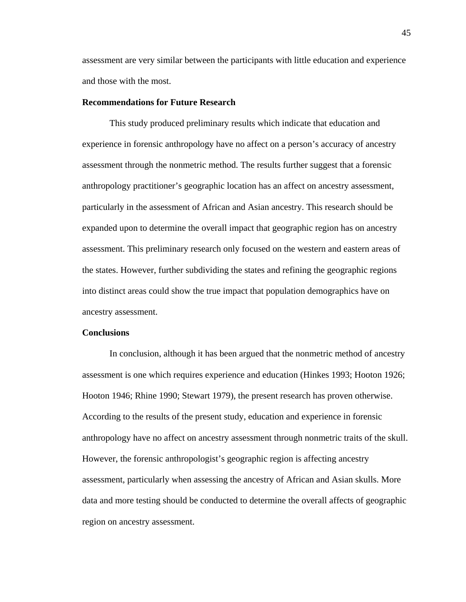assessment are very similar between the participants with little education and experience and those with the most.

### **Recommendations for Future Research**

This study produced preliminary results which indicate that education and experience in forensic anthropology have no affect on a person's accuracy of ancestry assessment through the nonmetric method. The results further suggest that a forensic anthropology practitioner's geographic location has an affect on ancestry assessment, particularly in the assessment of African and Asian ancestry. This research should be expanded upon to determine the overall impact that geographic region has on ancestry assessment. This preliminary research only focused on the western and eastern areas of the states. However, further subdividing the states and refining the geographic regions into distinct areas could show the true impact that population demographics have on ancestry assessment.

### **Conclusions**

In conclusion, although it has been argued that the nonmetric method of ancestry assessment is one which requires experience and education (Hinkes 1993; Hooton 1926; Hooton 1946; Rhine 1990; Stewart 1979), the present research has proven otherwise. According to the results of the present study, education and experience in forensic anthropology have no affect on ancestry assessment through nonmetric traits of the skull. However, the forensic anthropologist's geographic region is affecting ancestry assessment, particularly when assessing the ancestry of African and Asian skulls. More data and more testing should be conducted to determine the overall affects of geographic region on ancestry assessment.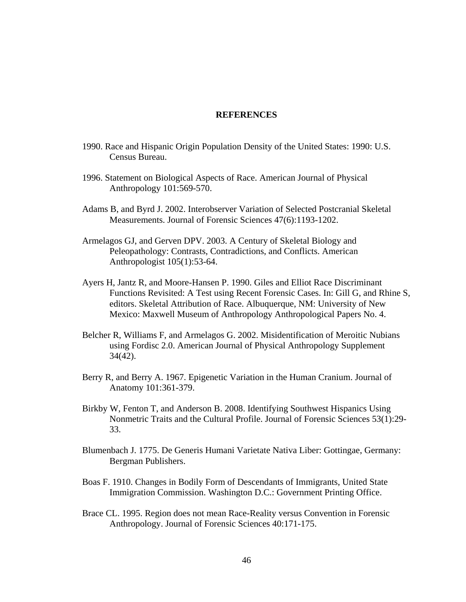# **REFERENCES**

- 1990. Race and Hispanic Origin Population Density of the United States: 1990: U.S. Census Bureau.
- 1996. Statement on Biological Aspects of Race. American Journal of Physical Anthropology 101:569-570.
- Adams B, and Byrd J. 2002. Interobserver Variation of Selected Postcranial Skeletal Measurements. Journal of Forensic Sciences 47(6):1193-1202.
- Armelagos GJ, and Gerven DPV. 2003. A Century of Skeletal Biology and Peleopathology: Contrasts, Contradictions, and Conflicts. American Anthropologist 105(1):53-64.
- Ayers H, Jantz R, and Moore-Hansen P. 1990. Giles and Elliot Race Discriminant Functions Revisited: A Test using Recent Forensic Cases. In: Gill G, and Rhine S, editors. Skeletal Attribution of Race. Albuquerque, NM: University of New Mexico: Maxwell Museum of Anthropology Anthropological Papers No. 4.
- Belcher R, Williams F, and Armelagos G. 2002. Misidentification of Meroitic Nubians using Fordisc 2.0. American Journal of Physical Anthropology Supplement 34(42).
- Berry R, and Berry A. 1967. Epigenetic Variation in the Human Cranium. Journal of Anatomy 101:361-379.
- Birkby W, Fenton T, and Anderson B. 2008. Identifying Southwest Hispanics Using Nonmetric Traits and the Cultural Profile. Journal of Forensic Sciences 53(1):29- 33.
- Blumenbach J. 1775. De Generis Humani Varietate Nativa Liber: Gottingae, Germany: Bergman Publishers.
- Boas F. 1910. Changes in Bodily Form of Descendants of Immigrants, United State Immigration Commission. Washington D.C.: Government Printing Office.
- Brace CL. 1995. Region does not mean Race-Reality versus Convention in Forensic Anthropology. Journal of Forensic Sciences 40:171-175.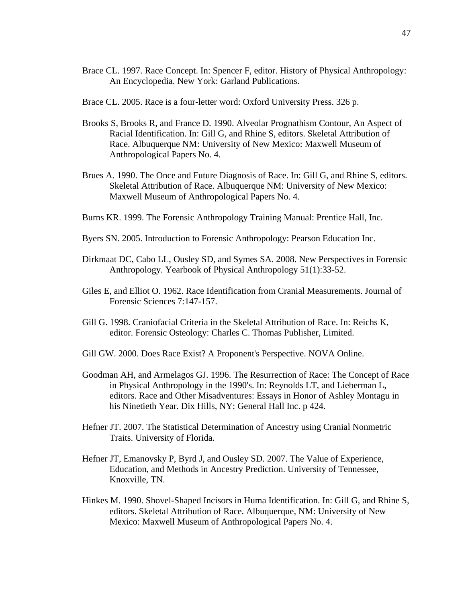- Brace CL. 1997. Race Concept. In: Spencer F, editor. History of Physical Anthropology: An Encyclopedia. New York: Garland Publications.
- Brace CL. 2005. Race is a four-letter word: Oxford University Press. 326 p.
- Brooks S, Brooks R, and France D. 1990. Alveolar Prognathism Contour, An Aspect of Racial Identification. In: Gill G, and Rhine S, editors. Skeletal Attribution of Race. Albuquerque NM: University of New Mexico: Maxwell Museum of Anthropological Papers No. 4.
- Brues A. 1990. The Once and Future Diagnosis of Race. In: Gill G, and Rhine S, editors. Skeletal Attribution of Race. Albuquerque NM: University of New Mexico: Maxwell Museum of Anthropological Papers No. 4.
- Burns KR. 1999. The Forensic Anthropology Training Manual: Prentice Hall, Inc.
- Byers SN. 2005. Introduction to Forensic Anthropology: Pearson Education Inc.
- Dirkmaat DC, Cabo LL, Ousley SD, and Symes SA. 2008. New Perspectives in Forensic Anthropology. Yearbook of Physical Anthropology 51(1):33-52.
- Giles E, and Elliot O. 1962. Race Identification from Cranial Measurements. Journal of Forensic Sciences 7:147-157.
- Gill G. 1998. Craniofacial Criteria in the Skeletal Attribution of Race. In: Reichs K, editor. Forensic Osteology: Charles C. Thomas Publisher, Limited.
- Gill GW. 2000. Does Race Exist? A Proponent's Perspective. NOVA Online.
- Goodman AH, and Armelagos GJ. 1996. The Resurrection of Race: The Concept of Race in Physical Anthropology in the 1990's. In: Reynolds LT, and Lieberman L, editors. Race and Other Misadventures: Essays in Honor of Ashley Montagu in his Ninetieth Year. Dix Hills, NY: General Hall Inc. p 424.
- Hefner JT. 2007. The Statistical Determination of Ancestry using Cranial Nonmetric Traits. University of Florida.
- Hefner JT, Emanovsky P, Byrd J, and Ousley SD. 2007. The Value of Experience, Education, and Methods in Ancestry Prediction. University of Tennessee, Knoxville, TN.
- Hinkes M. 1990. Shovel-Shaped Incisors in Huma Identification. In: Gill G, and Rhine S, editors. Skeletal Attribution of Race. Albuquerque, NM: University of New Mexico: Maxwell Museum of Anthropological Papers No. 4.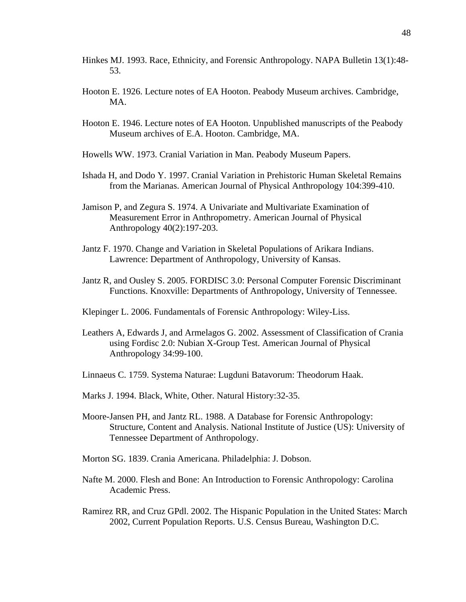- Hinkes MJ. 1993. Race, Ethnicity, and Forensic Anthropology. NAPA Bulletin 13(1):48- 53.
- Hooton E. 1926. Lecture notes of EA Hooton. Peabody Museum archives. Cambridge, MA.
- Hooton E. 1946. Lecture notes of EA Hooton. Unpublished manuscripts of the Peabody Museum archives of E.A. Hooton. Cambridge, MA.
- Howells WW. 1973. Cranial Variation in Man. Peabody Museum Papers.
- Ishada H, and Dodo Y. 1997. Cranial Variation in Prehistoric Human Skeletal Remains from the Marianas. American Journal of Physical Anthropology 104:399-410.
- Jamison P, and Zegura S. 1974. A Univariate and Multivariate Examination of Measurement Error in Anthropometry. American Journal of Physical Anthropology 40(2):197-203.
- Jantz F. 1970. Change and Variation in Skeletal Populations of Arikara Indians. Lawrence: Department of Anthropology, University of Kansas.
- Jantz R, and Ousley S. 2005. FORDISC 3.0: Personal Computer Forensic Discriminant Functions. Knoxville: Departments of Anthropology, University of Tennessee.
- Klepinger L. 2006. Fundamentals of Forensic Anthropology: Wiley-Liss.
- Leathers A, Edwards J, and Armelagos G. 2002. Assessment of Classification of Crania using Fordisc 2.0: Nubian X-Group Test. American Journal of Physical Anthropology 34:99-100.
- Linnaeus C. 1759. Systema Naturae: Lugduni Batavorum: Theodorum Haak.
- Marks J. 1994. Black, White, Other. Natural History:32-35.
- Moore-Jansen PH, and Jantz RL. 1988. A Database for Forensic Anthropology: Structure, Content and Analysis. National Institute of Justice (US): University of Tennessee Department of Anthropology.
- Morton SG. 1839. Crania Americana. Philadelphia: J. Dobson.
- Nafte M. 2000. Flesh and Bone: An Introduction to Forensic Anthropology: Carolina Academic Press.
- Ramirez RR, and Cruz GPdl. 2002. The Hispanic Population in the United States: March 2002, Current Population Reports. U.S. Census Bureau, Washington D.C.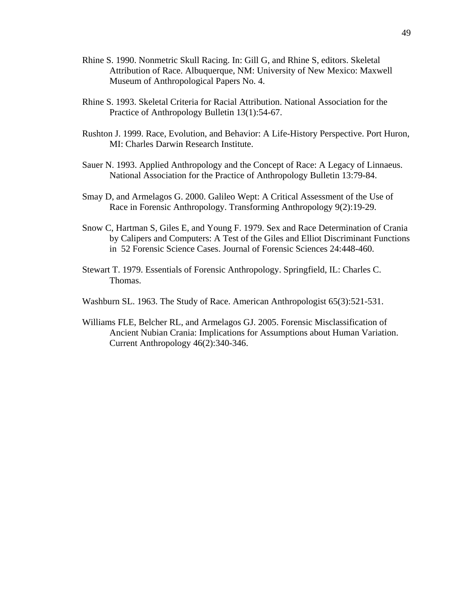- Rhine S. 1990. Nonmetric Skull Racing. In: Gill G, and Rhine S, editors. Skeletal Attribution of Race. Albuquerque, NM: University of New Mexico: Maxwell Museum of Anthropological Papers No. 4.
- Rhine S. 1993. Skeletal Criteria for Racial Attribution. National Association for the Practice of Anthropology Bulletin 13(1):54-67.
- Rushton J. 1999. Race, Evolution, and Behavior: A Life-History Perspective. Port Huron, MI: Charles Darwin Research Institute.
- Sauer N. 1993. Applied Anthropology and the Concept of Race: A Legacy of Linnaeus. National Association for the Practice of Anthropology Bulletin 13:79-84.
- Smay D, and Armelagos G. 2000. Galileo Wept: A Critical Assessment of the Use of Race in Forensic Anthropology. Transforming Anthropology 9(2):19-29.
- Snow C, Hartman S, Giles E, and Young F. 1979. Sex and Race Determination of Crania by Calipers and Computers: A Test of the Giles and Elliot Discriminant Functions in 52 Forensic Science Cases. Journal of Forensic Sciences 24:448-460.
- Stewart T. 1979. Essentials of Forensic Anthropology. Springfield, IL: Charles C. Thomas.
- Washburn SL. 1963. The Study of Race. American Anthropologist 65(3):521-531.
- Williams FLE, Belcher RL, and Armelagos GJ. 2005. Forensic Misclassification of Ancient Nubian Crania: Implications for Assumptions about Human Variation. Current Anthropology 46(2):340-346.